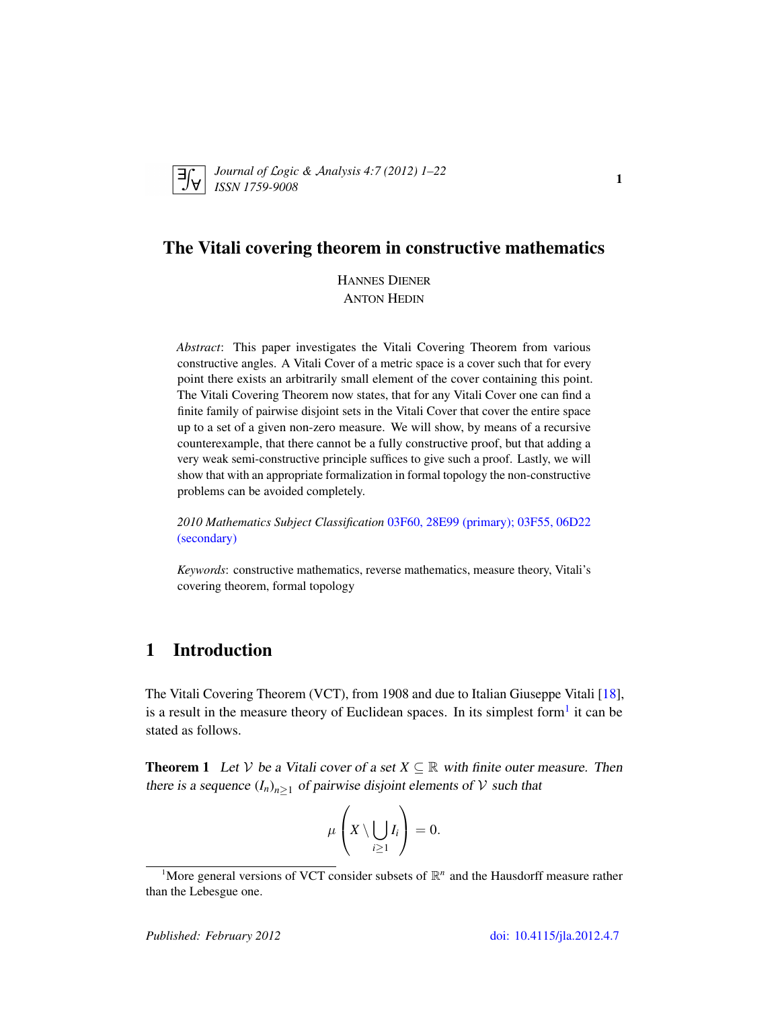

*Journal of* L*ogic &* A*nalysis 4:7 (2012) 1–22 ISSN 1759-9008* <sup>1</sup>

## The Vitali covering theorem in constructive mathematics

HANNES DIENER ANTON HEDIN

*Abstract*: This paper investigates the Vitali Covering Theorem from various constructive angles. A Vitali Cover of a metric space is a cover such that for every point there exists an arbitrarily small element of the cover containing this point. The Vitali Covering Theorem now states, that for any Vitali Cover one can find a finite family of pairwise disjoint sets in the Vitali Cover that cover the entire space up to a set of a given non-zero measure. We will show, by means of a recursive counterexample, that there cannot be a fully constructive proof, but that adding a very weak semi-constructive principle suffices to give such a proof. Lastly, we will show that with an appropriate formalization in formal topology the non-constructive problems can be avoided completely.

*2010 Mathematics Subject Classification* [03F60, 28E99 \(primary\); 03F55, 06D22](http://www.ams.org/mathscinet/search/mscdoc.html?code=03F60, 28E99,(03F55, 06D22)) [\(secondary\)](http://www.ams.org/mathscinet/search/mscdoc.html?code=03F60, 28E99,(03F55, 06D22))

*Keywords*: constructive mathematics, reverse mathematics, measure theory, Vitali's covering theorem, formal topology

# 1 Introduction

The Vitali Covering Theorem (VCT), from 1908 and due to Italian Giuseppe Vitali [\[18\]](#page-21-0), is a result in the measure theory of Euclidean spaces. In its simplest form<sup>[1](#page-0-0)</sup> it can be stated as follows.

<span id="page-0-1"></span>**Theorem 1** Let V be a Vitali cover of a set  $X \subseteq \mathbb{R}$  with finite outer measure. Then there is a sequence  $(I_n)_{n\geq 1}$  of pairwise disjoint elements of V such that

$$
\mu\left(X\setminus\bigcup_{i\geq 1}I_i\right)=0.
$$

<span id="page-0-0"></span><sup>&</sup>lt;sup>1</sup>More general versions of VCT consider subsets of  $\mathbb{R}^n$  and the Hausdorff measure rather than the Lebesgue one.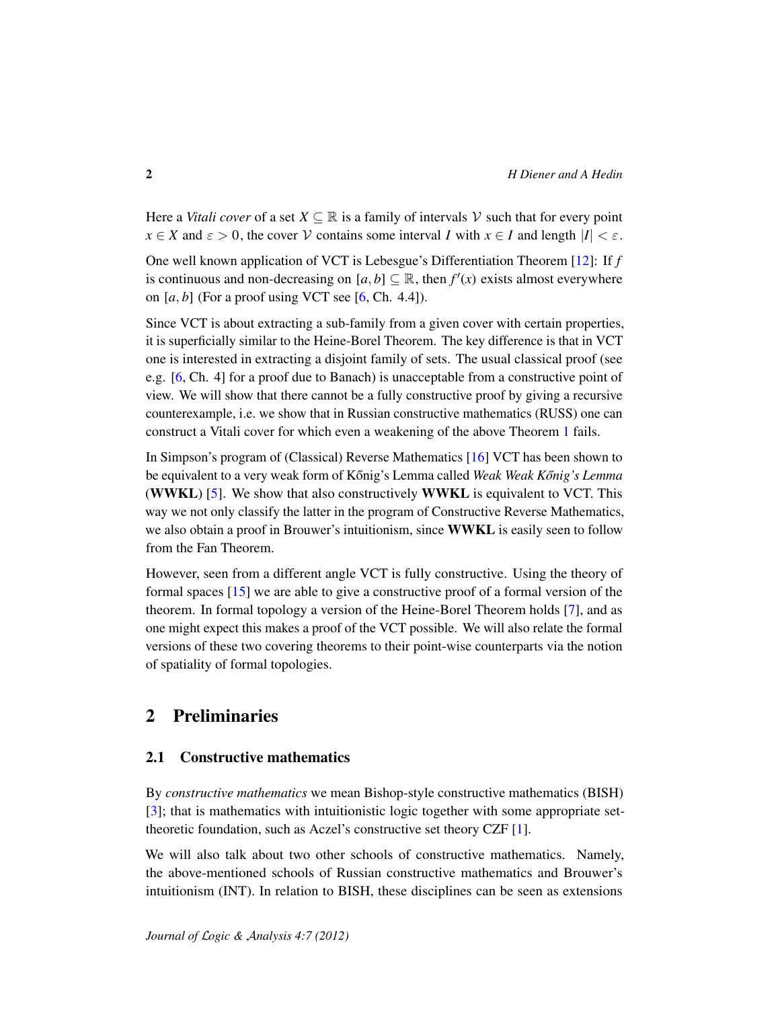Here a *Vitali cover* of a set  $X \subseteq \mathbb{R}$  is a family of intervals V such that for every point  $x \in X$  and  $\varepsilon > 0$ , the cover  $\mathcal V$  contains some interval *I* with  $x \in I$  and length  $|I| < \varepsilon$ .

One well known application of VCT is Lebesgue's Differentiation Theorem [\[12\]](#page-20-0): If *f* is continuous and non-decreasing on  $[a, b] \subseteq \mathbb{R}$ , then  $f'(x)$  exists almost everywhere on  $[a, b]$  (For a proof using VCT see  $[6, Ch. 4.4]$  $[6, Ch. 4.4]$ ).

Since VCT is about extracting a sub-family from a given cover with certain properties, it is superficially similar to the Heine-Borel Theorem. The key difference is that in VCT one is interested in extracting a disjoint family of sets. The usual classical proof (see e.g. [\[6,](#page-20-1) Ch. 4] for a proof due to Banach) is unacceptable from a constructive point of view. We will show that there cannot be a fully constructive proof by giving a recursive counterexample, i.e. we show that in Russian constructive mathematics (RUSS) one can construct a Vitali cover for which even a weakening of the above Theorem [1](#page-0-1) fails.

In Simpson's program of (Classical) Reverse Mathematics [\[16\]](#page-21-1) VCT has been shown to be equivalent to a very weak form of Kőnig's Lemma called *Weak Weak Kőnig's Lemma* (WWKL) [\[5\]](#page-20-2). We show that also constructively WWKL is equivalent to VCT. This way we not only classify the latter in the program of Constructive Reverse Mathematics, we also obtain a proof in Brouwer's intuitionism, since WWKL is easily seen to follow from the Fan Theorem.

However, seen from a different angle VCT is fully constructive. Using the theory of formal spaces [\[15\]](#page-21-2) we are able to give a constructive proof of a formal version of the theorem. In formal topology a version of the Heine-Borel Theorem holds [\[7\]](#page-20-3), and as one might expect this makes a proof of the VCT possible. We will also relate the formal versions of these two covering theorems to their point-wise counterparts via the notion of spatiality of formal topologies.

# 2 Preliminaries

## 2.1 Constructive mathematics

By *constructive mathematics* we mean Bishop-style constructive mathematics (BISH) [\[3\]](#page-20-4); that is mathematics with intuitionistic logic together with some appropriate settheoretic foundation, such as Aczel's constructive set theory CZF [\[1\]](#page-20-5).

We will also talk about two other schools of constructive mathematics. Namely, the above-mentioned schools of Russian constructive mathematics and Brouwer's intuitionism (INT). In relation to BISH, these disciplines can be seen as extensions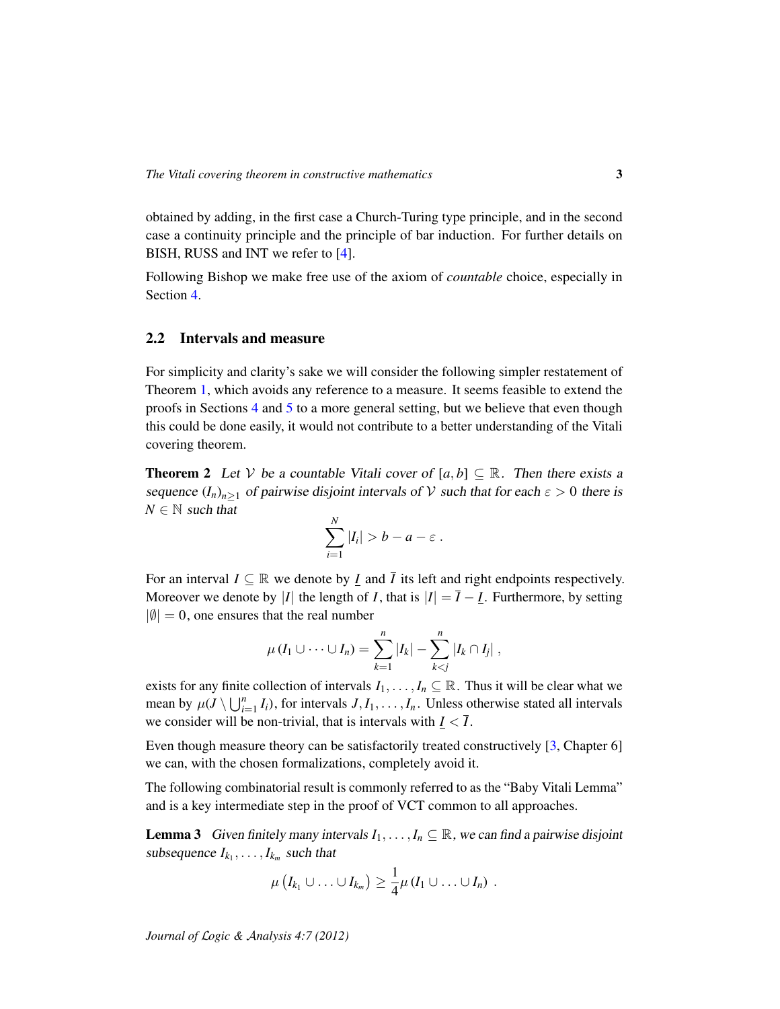obtained by adding, in the first case a Church-Turing type principle, and in the second case a continuity principle and the principle of bar induction. For further details on BISH, RUSS and INT we refer to [\[4\]](#page-20-6).

Following Bishop we make free use of the axiom of *countable* choice, especially in Section [4.](#page-9-0)

#### 2.2 Intervals and measure

For simplicity and clarity's sake we will consider the following simpler restatement of Theorem [1,](#page-0-1) which avoids any reference to a measure. It seems feasible to extend the proofs in Sections [4](#page-9-0) and [5](#page-13-0) to a more general setting, but we believe that even though this could be done easily, it would not contribute to a better understanding of the Vitali covering theorem.

<span id="page-2-0"></span>**Theorem 2** Let V be a countable Vitali cover of  $[a, b] \subseteq \mathbb{R}$ . Then there exists a sequence  $(I_n)_{n\geq 1}$  of pairwise disjoint intervals of V such that for each  $\varepsilon > 0$  there is  $N \in \mathbb{N}$  such that

$$
\sum_{i=1}^N |I_i| > b - a - \varepsilon.
$$

For an interval  $I \subseteq \mathbb{R}$  we denote by  $I$  and  $\overline{I}$  its left and right endpoints respectively. Moreover we denote by |*I*| the length of *I*, that is  $|I| = \overline{I} - \underline{I}$ . Furthermore, by setting  $|\emptyset| = 0$ , one ensures that the real number

$$
\mu(I_1\cup\cdots\cup I_n)=\sum_{k=1}^n|I_k|-\sum_{k
$$

exists for any finite collection of intervals  $I_1, \ldots, I_n \subseteq \mathbb{R}$ . Thus it will be clear what we mean by  $\mu(J \setminus \bigcup_{i=1}^n I_i)$ , for intervals  $J, I_1, \ldots, I_n$ . Unless otherwise stated all intervals we consider will be non-trivial, that is intervals with  $\underline{I} < \overline{I}$ .

Even though measure theory can be satisfactorily treated constructively [\[3,](#page-20-4) Chapter 6] we can, with the chosen formalizations, completely avoid it.

The following combinatorial result is commonly referred to as the "Baby Vitali Lemma" and is a key intermediate step in the proof of VCT common to all approaches.

<span id="page-2-1"></span>**Lemma 3** Given finitely many intervals  $I_1, \ldots, I_n \subseteq \mathbb{R}$ , we can find a pairwise disjoint subsequence  $I_{k_1}, \ldots, I_{k_m}$  such that

$$
\mu(I_{k_1}\cup\ldots\cup I_{k_m})\geq \frac{1}{4}\mu(I_1\cup\ldots\cup I_n) .
$$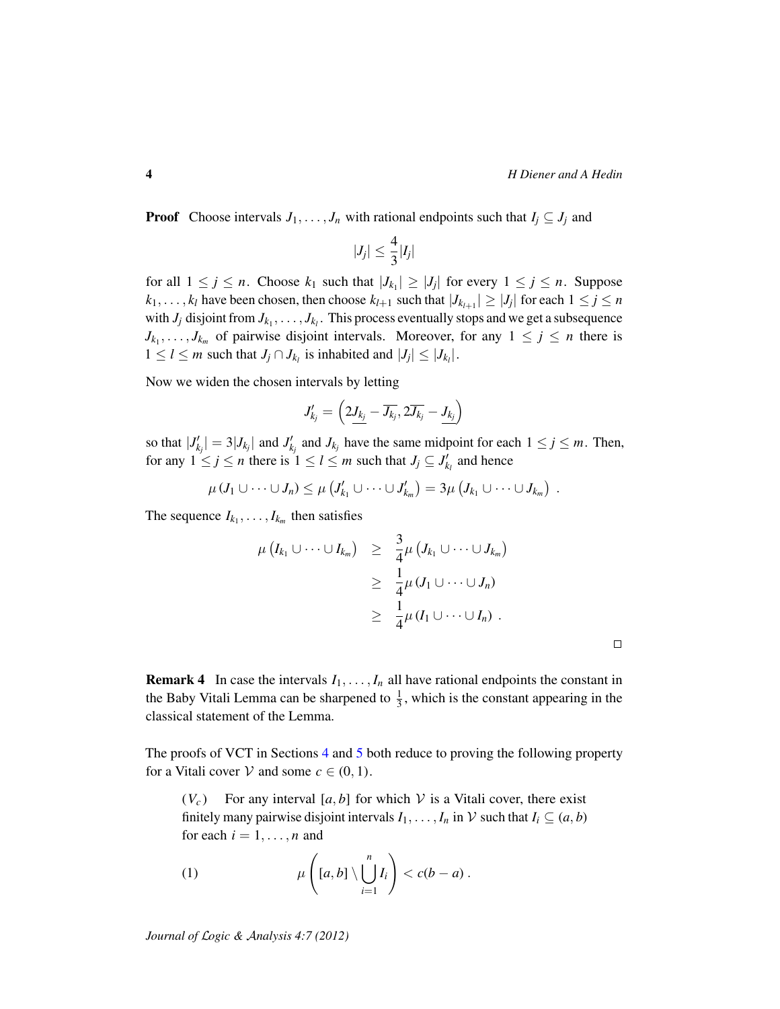$\Box$ 

**Proof** Choose intervals  $J_1, \ldots, J_n$  with rational endpoints such that  $I_j \subseteq J_j$  and

$$
|J_j| \leq \frac{4}{3}|I_j|
$$

for all  $1 \leq j \leq n$ . Choose  $k_1$  such that  $|J_{k_1}| \geq |J_j|$  for every  $1 \leq j \leq n$ . Suppose  $k_1, \ldots, k_l$  have been chosen, then choose  $k_{l+1}$  such that  $|J_{k_{l+1}}| \geq |J_j|$  for each  $1 \leq j \leq n$ with  $J_j$  disjoint from  $J_{k_1}, \ldots, J_{k_l}$ . This process eventually stops and we get a subsequence  $J_{k_1}, \ldots, J_{k_m}$  of pairwise disjoint intervals. Moreover, for any  $1 \leq j \leq n$  there is  $1 \leq l \leq m$  such that  $J_j \cap J_{k_l}$  is inhabited and  $|J_j| \leq |J_{k_l}|$ .

Now we widen the chosen intervals by letting

$$
J'_{kj} = \left(2\underline{J_{k_j}} - \overline{J_{k_j}}, 2\overline{J_{k_j}} - \underline{J_{k_j}}\right)
$$

so that  $|J'_{k_j}| = 3|J_{k_j}|$  and  $J'_{k_j}$  and  $J_{k_j}$  have the same midpoint for each  $1 \le j \le m$ . Then, for any  $1 \le j \le n$  there is  $1 \le l \le m$  such that  $J_j \subseteq J'_{k_l}$  and hence

$$
\mu (J_1 \cup \cdots \cup J_n) \leq \mu \left( J'_{k_1} \cup \cdots \cup J'_{k_m} \right) = 3\mu \left( J_{k_1} \cup \cdots \cup J_{k_m} \right) .
$$

The sequence  $I_{k_1}, \ldots, I_{k_m}$  then satisfies

$$
\mu(I_{k_1}\cup\cdots\cup I_{k_m})\geq \frac{3}{4}\mu(J_{k_1}\cup\cdots\cup J_{k_m})
$$
  
\n
$$
\geq \frac{1}{4}\mu(J_1\cup\cdots\cup J_n)
$$
  
\n
$$
\geq \frac{1}{4}\mu(I_1\cup\cdots\cup I_n).
$$

<span id="page-3-1"></span>**Remark 4** In case the intervals  $I_1, \ldots, I_n$  all have rational endpoints the constant in the Baby Vitali Lemma can be sharpened to  $\frac{1}{3}$ , which is the constant appearing in the classical statement of the Lemma.

The proofs of VCT in Sections [4](#page-9-0) and [5](#page-13-0) both reduce to proving the following property for a Vitali cover  $V$  and some  $c \in (0, 1)$ .

 $(V_c)$  For any interval [a, b] for which V is a Vitali cover, there exist finitely many pairwise disjoint intervals  $I_1, \ldots, I_n$  in  $\mathcal V$  such that  $I_i \subseteq (a, b)$ for each  $i = 1, \ldots, n$  and

<span id="page-3-0"></span>(1) 
$$
\mu\left([a,b]\setminus \bigcup_{i=1}^n I_i\right) < c(b-a).
$$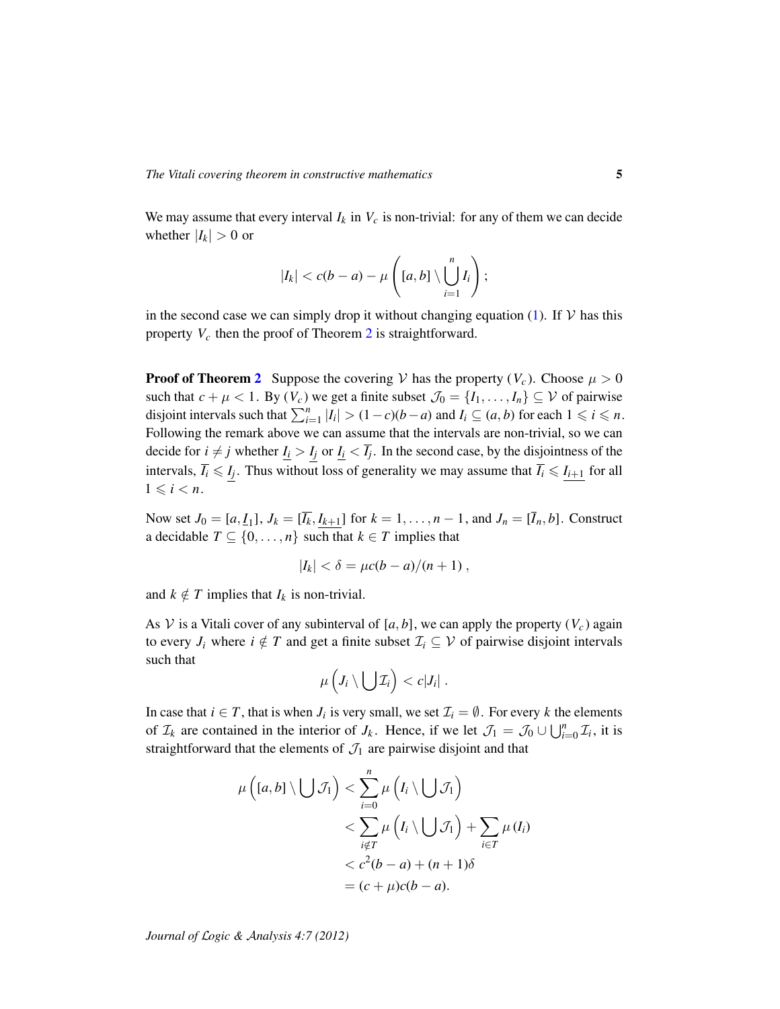We may assume that every interval  $I_k$  in  $V_c$  is non-trivial: for any of them we can decide whether  $|I_k| > 0$  or

$$
|I_k|
$$

in the second case we can simply drop it without changing equation [\(1\)](#page-3-0). If  $V$  has this property *V<sup>c</sup>* then the proof of Theorem [2](#page-2-0) is straightforward.

**Proof of Theorem [2](#page-2-0)** Suppose the covering V has the property  $(V_c)$ . Choose  $\mu > 0$ such that  $c + \mu < 1$ . By  $(V_c)$  we get a finite subset  $\mathcal{J}_0 = \{I_1, \ldots, I_n\} \subseteq V$  of pairwise disjoint intervals such that  $\sum_{i=1}^{n} |I_i| > (1-c)(b-a)$  and  $I_i \subseteq (a, b)$  for each  $1 \leq i \leq n$ . Following the remark above we can assume that the intervals are non-trivial, so we can decide for  $i \neq j$  whether  $I_i > I_j$  or  $I_i < \overline{I_j}$ . In the second case, by the disjointness of the intervals,  $\overline{I}_i \leq I_j$ . Thus without loss of generality we may assume that  $\overline{I}_i \leq I_{i+1}$  for all  $1 \leq i < n$ .

Now set  $J_0 = [a, I_1]$ ,  $J_k = [\overline{I_k}, I_{k+1}]$  for  $k = 1, ..., n - 1$ , and  $J_n = [\overline{I}_n, b]$ . Construct a decidable  $T \subseteq \{0, \ldots, n\}$  such that  $k \in T$  implies that

$$
|I_k| < \delta = \mu c(b-a)/(n+1) \,,
$$

and  $k \notin T$  implies that  $I_k$  is non-trivial.

As V is a Vitali cover of any subinterval of [a, b], we can apply the property  $(V_c)$  again to every  $J_i$  where  $i \notin T$  and get a finite subset  $\mathcal{I}_i \subseteq \mathcal{V}$  of pairwise disjoint intervals such that

$$
\mu\left(J_i\setminus\bigcup\mathcal{I}_i\right)
$$

In case that  $i \in T$ , that is when  $J_i$  is very small, we set  $\mathcal{I}_i = \emptyset$ . For every k the elements of  $\mathcal{I}_k$  are contained in the interior of  $J_k$ . Hence, if we let  $\mathcal{J}_1 = \mathcal{J}_0 \cup \bigcup_{i=0}^n \mathcal{I}_i$ , it is straightforward that the elements of  $\mathcal{J}_1$  are pairwise disjoint and that

$$
\mu\left([a,b]\setminus\bigcup\mathcal{J}_1\right)<\sum_{i=0}^n\mu\left(I_i\setminus\bigcup\mathcal{J}_1\right)\\<\sum_{i\notin T}\mu\left(I_i\setminus\bigcup\mathcal{J}_1\right)+\sum_{i\in T}\mu(I_i)\\<\ c^2(b-a)+(n+1)\delta\\&=(c+\mu)c(b-a).
$$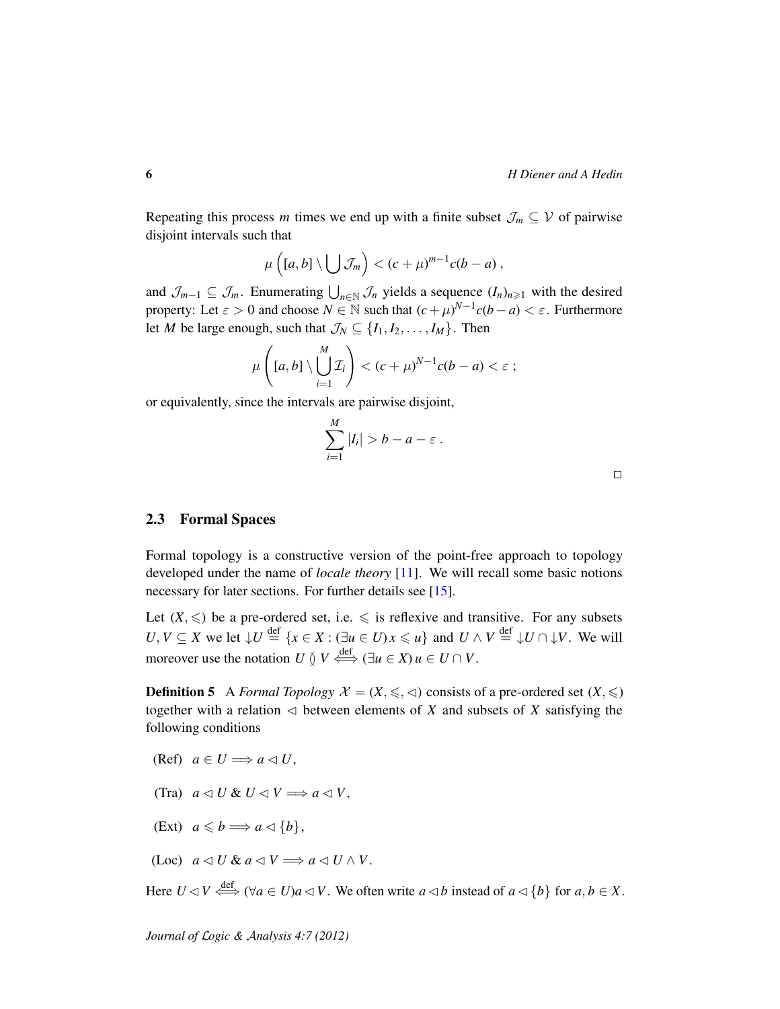Repeating this process *m* times we end up with a finite subset  $\mathcal{J}_m \subseteq \mathcal{V}$  of pairwise disjoint intervals such that

$$
\mu\left([a,b]\setminus\bigcup\mathcal{J}_m\right)<(c+\mu)^{m-1}c(b-a)\,,
$$

and  $\mathcal{J}_{m-1} \subseteq \mathcal{J}_m$ . Enumerating  $\bigcup_{n \in \mathbb{N}} \mathcal{J}_n$  yields a sequence  $(I_n)_{n \geq 1}$  with the desired property: Let  $\varepsilon > 0$  and choose  $N \in \mathbb{N}$  such that  $(c + \mu)^{N-1}c(b - a) < \varepsilon$ . Furthermore let *M* be large enough, such that  $\mathcal{J}_N \subseteq \{I_1, I_2, \ldots, I_M\}$ . Then

$$
\mu\left([a,b]\setminus\bigcup_{i=1}^M\mathcal{I}_i\right)<(c+\mu)^{N-1}c(b-a)<\varepsilon\,;
$$

or equivalently, since the intervals are pairwise disjoint,

$$
\sum_{i=1}^M |I_i| > b - a - \varepsilon \, .
$$

### 2.3 Formal Spaces

Formal topology is a constructive version of the point-free approach to topology developed under the name of *locale theory* [\[11\]](#page-20-7). We will recall some basic notions necessary for later sections. For further details see [\[15\]](#page-21-2).

Let  $(X, \leq)$  be a pre-ordered set, i.e.  $\leq$  is reflexive and transitive. For any subsets *U*, *V* ⊆ *X* we let  $\downarrow U \stackrel{\text{def}}{=} \{x \in X : (\exists u \in U) x \leq u\}$  and  $U \wedge V \stackrel{\text{def}}{=} \downarrow U \cap \downarrow V$ . We will moreover use the notation *U*  $\circled{V}$   $\leftrightarrow$   $\leftrightarrow$   $(\exists u \in X)$   $u \in U \cap V$ .

**Definition 5** A *Formal Topology*  $\mathcal{X} = (X, \leq, \leq)$  consists of a pre-ordered set  $(X, \leq)$ together with a relation  $\triangleleft$  between elements of *X* and subsets of *X* satisfying the following conditions

- (Ref)  $a \in U \Longrightarrow a \triangleleft U$ ,
- (Tra)  $a \triangleleft U \& U \triangleleft V \Longrightarrow a \triangleleft V$ ,
- (Ext)  $a \leqslant b \Longrightarrow a \triangleleft \{b\},\$
- $(Loc)$   $a \triangleleft U \& a \triangleleft V \Longrightarrow a \triangleleft U \wedge V.$

Here  $U \triangleleft V \stackrel{\text{def}}{\iff} (\forall a \in U)a \triangleleft V$ . We often write  $a \triangleleft b$  instead of  $a \triangleleft \{b\}$  for  $a, b \in X$ .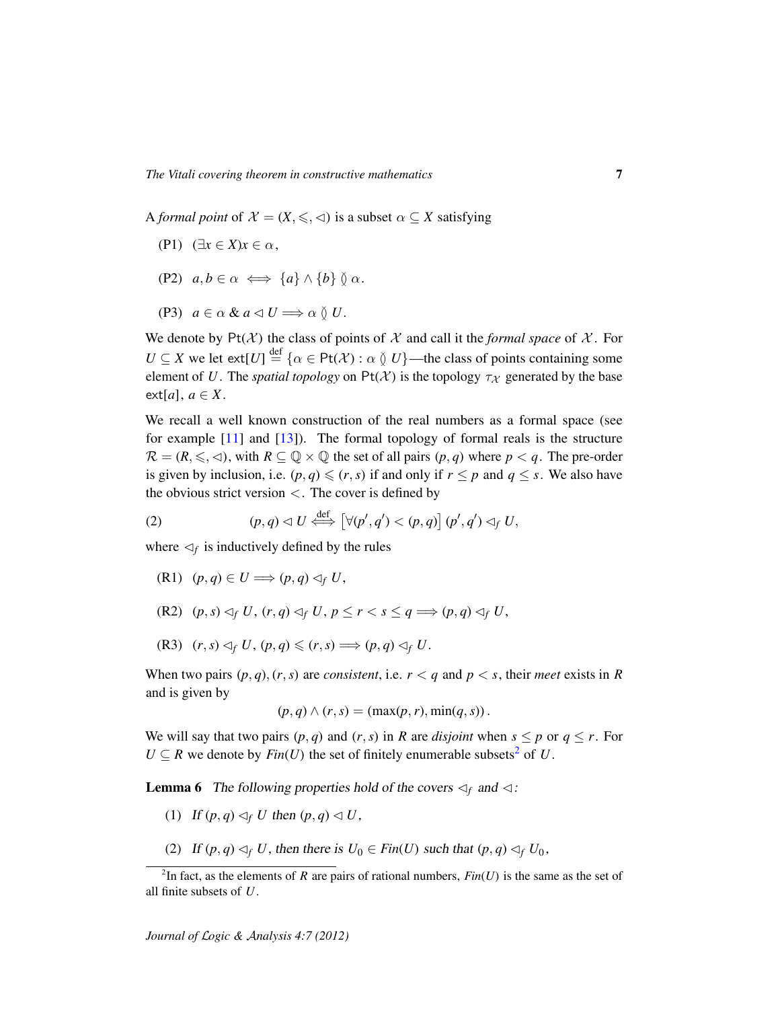A *formal point* of  $\mathcal{X} = (X, \leq, \leq)$  is a subset  $\alpha \subseteq X$  satisfying

- (P1)  $(\exists x \in X) x \in \alpha$ ,
- (P2)  $a, b \in \alpha \iff \{a\} \wedge \{b\} \emptyset \alpha$ .
- (P3)  $a \in \alpha \& a \triangleleft U \Longrightarrow \alpha \& U.$

We denote by  $Pt(X)$  the class of points of X and call it the *formal space* of X. For  $U \subseteq X$  we let  $ext[U] \stackrel{\text{def}}{=} {\alpha \in \text{Pt}(\mathcal{X}) : \alpha \between U}$ —the class of points containing some element of *U*. The *spatial topology* on  $Pt(X)$  is the topology  $\tau_X$  generated by the base  $ext[a], a \in X.$ 

We recall a well known construction of the real numbers as a formal space (see for example [\[11\]](#page-20-7) and [\[13\]](#page-20-8)). The formal topology of formal reals is the structure  $\mathcal{R} = (R, \leq, \leq)$ , with  $R \subseteq \mathbb{Q} \times \mathbb{Q}$  the set of all pairs  $(p, q)$  where  $p < q$ . The pre-order is given by inclusion, i.e.  $(p, q) \leq (r, s)$  if and only if  $r \leq p$  and  $q \leq s$ . We also have the obvious strict version  $\langle$ . The cover is defined by

(2) 
$$
(p,q) \lhd U \stackrel{\text{def}}{\iff} [\forall (p',q') < (p,q)] \ (p',q') \lhd_f U,
$$

where  $\leq_f$  is inductively defined by the rules

- $(R1)$   $(p,q) \in U \Longrightarrow (p,q) \triangleleft f U$ ,
- $(R2)$   $(p, s) \triangleleft_f U$ ,  $(r, q) \triangleleft_f U$ ,  $p \leq r < s \leq q \Longrightarrow (p, q) \triangleleft_f U$ ,
- $(R3)$   $(r, s) \triangleleft_f U$ ,  $(p, q) \leq (r, s) \Longrightarrow (p, q) \triangleleft_f U$ .

When two pairs  $(p, q)$ ,  $(r, s)$  are *consistent*, i.e.  $r < q$  and  $p < s$ , their *meet* exists in *R* and is given by

$$
(p,q) \wedge (r,s) = (\max(p,r), \min(q,s)).
$$

We will say that two pairs  $(p, q)$  and  $(r, s)$  in *R* are *disjoint* when  $s \leq p$  or  $q \leq r$ . For  $U \subseteq R$  we denote by *Fin*(*U*) the set of finitely enumerable subsets<sup>[2](#page-6-0)</sup> of *U*.

<span id="page-6-1"></span>**Lemma 6** The following properties hold of the covers  $\lhd_f$  and  $\lhd$ :

- (1) If  $(p, q) \leq f$  *U* then  $(p, q) \leq U$ ,
- (2) If  $(p, q) \triangleleft_f U$ , then there is  $U_0 \in Fin(U)$  such that  $(p, q) \triangleleft_f U_0$ ,

<span id="page-6-0"></span><sup>&</sup>lt;sup>2</sup>In fact, as the elements of *R* are pairs of rational numbers,  $Fin(U)$  is the same as the set of all finite subsets of *U*.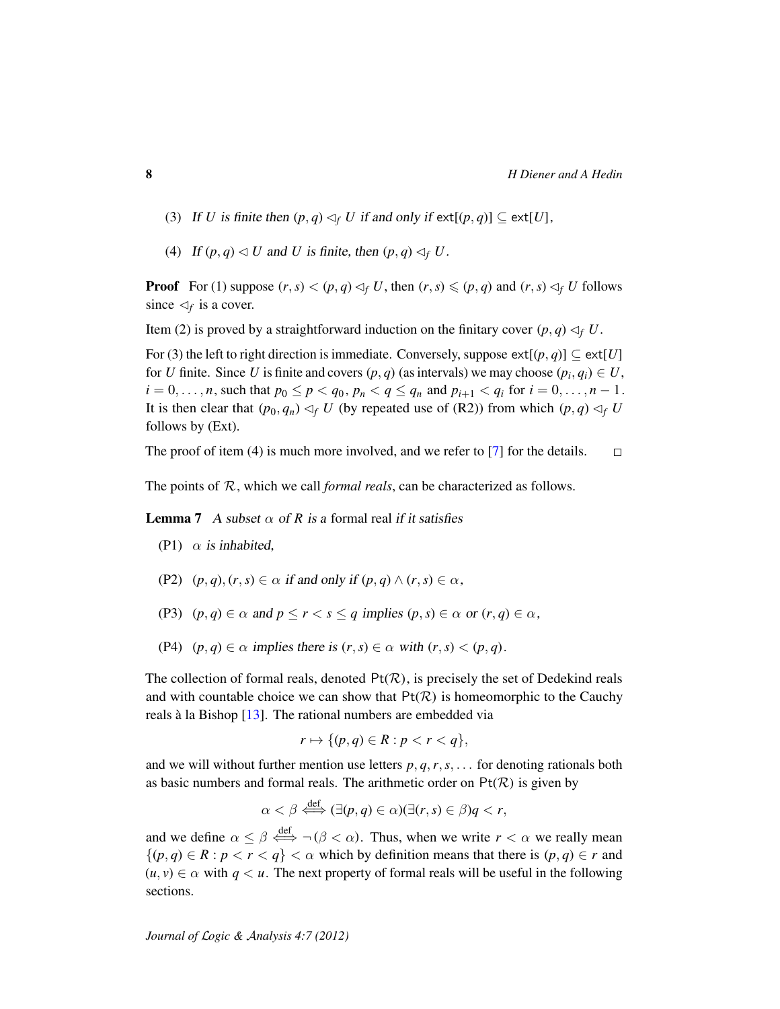- (3) If *U* is finite then  $(p, q) \leq_f U$  if and only if  $ext[(p, q)] \subseteq ext[U]$ ,
- (4) If  $(p, q) \triangleleft U$  and *U* is finite, then  $(p, q) \triangleleft f$  *U*.

**Proof** For (1) suppose  $(r, s) < (p, q) \triangleleft_f U$ , then  $(r, s) \leq (p, q)$  and  $(r, s) \triangleleft_f U$  follows since  $\lhd_f$  is a cover.

Item (2) is proved by a straightforward induction on the finitary cover  $(p, q) \lhd_f U$ .

For (3) the left to right direction is immediate. Conversely, suppose  $ext[(p, q)] \subseteq ext[U]$ for *U* finite. Since *U* is finite and covers  $(p, q)$  (as intervals) we may choose  $(p_i, q_i) \in U$ ,  $i = 0, \ldots, n$ , such that  $p_0 \le p < q_0, p_n < q \le q_n$  and  $p_{i+1} < q_i$  for  $i = 0, \ldots, n-1$ . It is then clear that  $(p_0, q_n) \triangleleft f$  *U* (by repeated use of (R2)) from which  $(p, q) \triangleleft f$  *U* follows by (Ext).

The proof of item (4) is much more involved, and we refer to [\[7\]](#page-20-3) for the details.  $\Box$ 

The points of R, which we call *formal reals*, can be characterized as follows.

**Lemma 7** A subset  $\alpha$  of R is a formal real if it satisfies

- (P1)  $\alpha$  is inhabited,
- (P2)  $(p, q), (r, s) \in \alpha$  if and only if  $(p, q) \wedge (r, s) \in \alpha$ ,
- (P3)  $(p,q) \in \alpha$  and  $p \leq r < s \leq q$  implies  $(p,s) \in \alpha$  or  $(r,q) \in \alpha$ ,
- (P4)  $(p, q) \in \alpha$  implies there is  $(r, s) \in \alpha$  with  $(r, s) < (p, q)$ .

The collection of formal reals, denoted  $Pt(R)$ , is precisely the set of Dedekind reals and with countable choice we can show that  $Pt(R)$  is homeomorphic to the Cauchy reals à la Bishop  $[13]$  $[13]$ . The rational numbers are embedded via

$$
r \mapsto \{ (p,q) \in R : p < r < q \},
$$

and we will without further mention use letters  $p, q, r, s, \ldots$  for denoting rationals both as basic numbers and formal reals. The arithmetic order on  $Pt(R)$  is given by

$$
\alpha < \beta \stackrel{\text{def}}{\iff} (\exists (p, q) \in \alpha)(\exists (r, s) \in \beta) q < r,
$$

and we define  $\alpha \leq \beta \stackrel{\text{def}}{\iff} \neg (\beta < \alpha)$ . Thus, when we write  $r < \alpha$  we really mean  $\{(p, q) \in R : p < r < q\} < \alpha$  which by definition means that there is  $(p, q) \in r$  and  $(u, v) \in \alpha$  with  $q < u$ . The next property of formal reals will be useful in the following sections.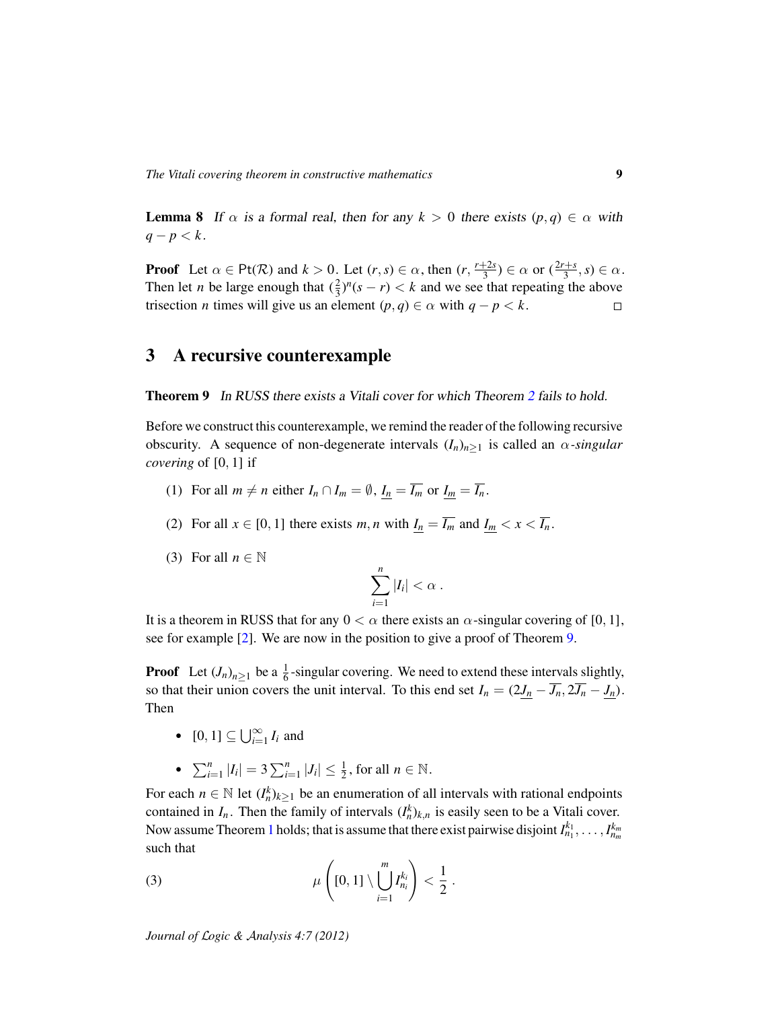<span id="page-8-1"></span>**Lemma 8** If  $\alpha$  is a formal real, then for any  $k > 0$  there exists  $(p, q) \in \alpha$  with  $q - p < k$ .

**Proof** Let  $\alpha \in \text{Pt}(\mathcal{R})$  and  $k > 0$ . Let  $(r, s) \in \alpha$ , then  $(r, \frac{r+2s}{3})$  $(\frac{2s}{3}) \in \alpha$  or  $(\frac{2r+s}{3}, s) \in \alpha$ . Then let *n* be large enough that  $(\frac{2}{3})^n(s - r) < k$  and we see that repeating the above trisection *n* times will give us an element  $(p, q) \in \alpha$  with  $q - p < k$ .  $\Box$ 

## <span id="page-8-2"></span>3 A recursive counterexample

<span id="page-8-0"></span>**Theorem 9** In RUSS there exists a Vitali cover for which Theorem [2](#page-2-0) fails to hold.

Before we construct this counterexample, we remind the reader of the following recursive obscurity. A sequence of non-degenerate intervals  $(I_n)_{n>1}$  is called an  $\alpha$ -singular *covering* of [0, 1] if

- (1) For all  $m \neq n$  either  $I_n \cap I_m = \emptyset$ ,  $I_n = \overline{I_m}$  or  $I_m = \overline{I_n}$ .
- (2) For all  $x \in [0, 1]$  there exists  $m, n$  with  $I_n = \overline{I_m}$  and  $I_m < x < \overline{I_n}$ .
- (3) For all  $n \in \mathbb{N}$

$$
\sum_{i=1}^n |I_i| < \alpha \; .
$$

It is a theorem in RUSS that for any  $0 < \alpha$  there exists an  $\alpha$ -singular covering of [0, 1], see for example [\[2\]](#page-20-9). We are now in the position to give a proof of Theorem [9.](#page-8-0)

**Proof** Let  $(J_n)_{n\geq 1}$  be a  $\frac{1}{6}$ -singular covering. We need to extend these intervals slightly, so that their union covers the unit interval. To this end set  $I_n = (2J_n - \overline{J_n}, 2\overline{J_n} - J_n)$ . Then

- $[0, 1] \subseteq \bigcup_{i=1}^{\infty} I_i$  and
- $\sum_{i=1}^{n} |I_i| = 3 \sum_{i=1}^{n} |J_i| \le \frac{1}{2}$ , for all  $n \in \mathbb{N}$ .

For each  $n \in \mathbb{N}$  let  $(I_n^k)_{k \geq 1}$  be an enumeration of all intervals with rational endpoints contained in  $I_n$ . Then the family of intervals  $(I_n^k)_{k,n}$  is easily seen to be a Vitali cover. Now assume Theorem [1](#page-0-1) holds; that is assume that there exist pairwise disjoint  $I_{n_1}^{k_1}, \ldots, I_{n_m}^{k_m}$ such that

.

(3) 
$$
\mu\left([0,1]\setminus \bigcup_{i=1}^m I_{n_i}^{k_i}\right) < \frac{1}{2}
$$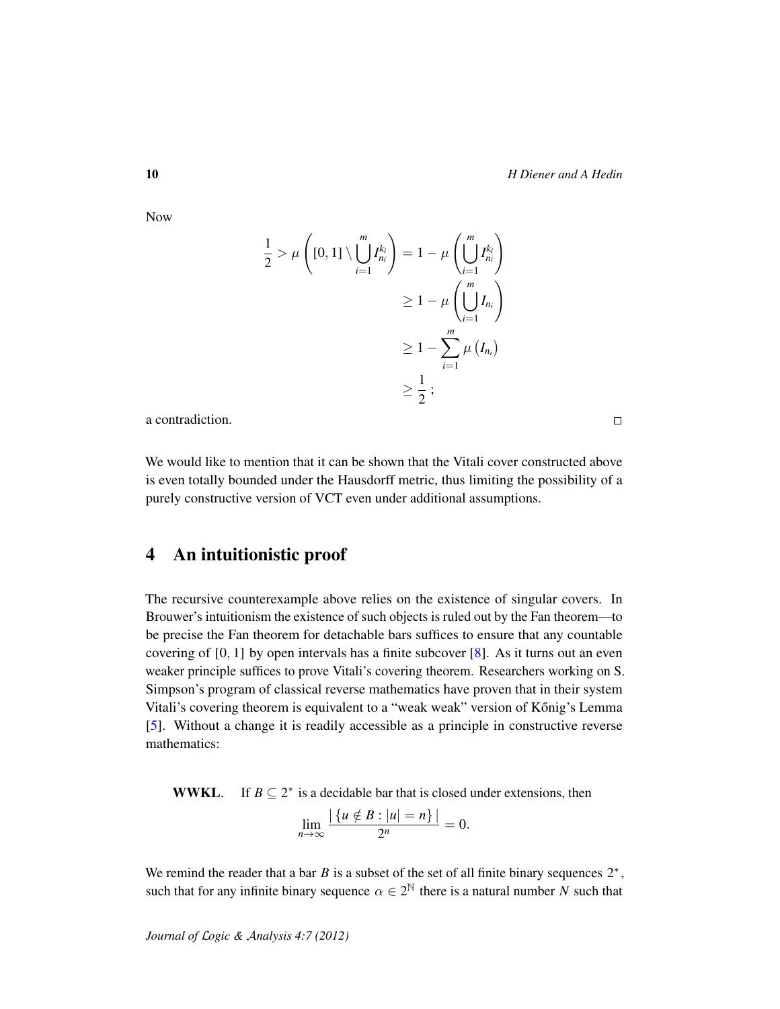$$
\frac{1}{2} > \mu \left( [0,1] \setminus \bigcup_{i=1}^{m} I_{n_i}^{k_i} \right) = 1 - \mu \left( \bigcup_{i=1}^{m} I_{n_i}^{k_i} \right)
$$
  
\n
$$
\geq 1 - \mu \left( \bigcup_{i=1}^{m} I_{n_i} \right)
$$
  
\n
$$
\geq 1 - \sum_{i=1}^{m} \mu \left( I_{n_i} \right)
$$
  
\n
$$
\geq \frac{1}{2} ;
$$

a contradiction.

We would like to mention that it can be shown that the Vitali cover constructed above is even totally bounded under the Hausdorff metric, thus limiting the possibility of a purely constructive version of VCT even under additional assumptions.

# <span id="page-9-0"></span>4 An intuitionistic proof

The recursive counterexample above relies on the existence of singular covers. In Brouwer's intuitionism the existence of such objects is ruled out by the Fan theorem—to be precise the Fan theorem for detachable bars suffices to ensure that any countable covering of  $[0, 1]$  by open intervals has a finite subcover  $[8]$ . As it turns out an even weaker principle suffices to prove Vitali's covering theorem. Researchers working on S. Simpson's program of classical reverse mathematics have proven that in their system Vitali's covering theorem is equivalent to a "weak weak" version of Kőnig's Lemma [\[5\]](#page-20-2). Without a change it is readily accessible as a principle in constructive reverse mathematics:

**WWKL.** If  $B \subseteq 2^*$  is a decidable bar that is closed under extensions, then

$$
\lim_{n\to\infty}\frac{|\{u\notin B:|u|=n\}|}{2^n}=0.
$$

We remind the reader that a bar  $B$  is a subset of the set of all finite binary sequences  $2^*$ , such that for any infinite binary sequence  $\alpha \in 2^{\mathbb{N}}$  there is a natural number *N* such that

Now

 $\Box$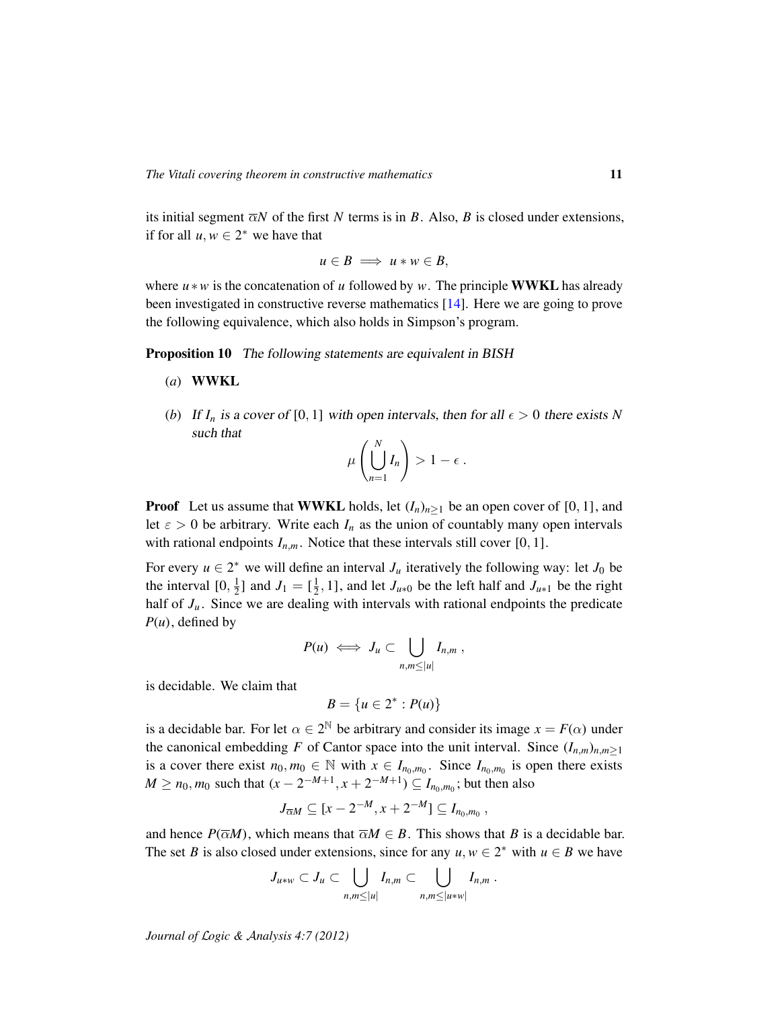its initial segment  $\overline{\alpha}N$  of the first N terms is in B. Also, B is closed under extensions, if for all  $u, w \in 2^*$  we have that

$$
u\in B \implies u*w\in B,
$$

where *u* ∗*w* is the concatenation of *u* followed by *w*. The principle WWKL has already been investigated in constructive reverse mathematics [\[14\]](#page-20-11). Here we are going to prove the following equivalence, which also holds in Simpson's program.

<span id="page-10-0"></span>**Proposition 10** The following statements are equivalent in BISH

- (*a*) WWKL
- (*b*) If  $I_n$  is a cover of [0, 1] with open intervals, then for all  $\epsilon > 0$  there exists N such that

$$
\mu\left(\bigcup_{n=1}^N I_n\right) > 1 - \epsilon.
$$

**Proof** Let us assume that **WWKL** holds, let  $(I_n)_{n>1}$  be an open cover of [0, 1], and let  $\varepsilon > 0$  be arbitrary. Write each  $I_n$  as the union of countably many open intervals with rational endpoints  $I_{n,m}$ . Notice that these intervals still cover [0, 1].

For every  $u \in 2^*$  we will define an interval  $J_u$  iteratively the following way: let  $J_0$  be the interval  $[0, \frac{1}{2}]$  $\frac{1}{2}$ ] and  $J_1 = [\frac{1}{2}]$  $\frac{1}{2}$ , 1], and let *J*<sub>*u*\*0</sub> be the left half and *J*<sub>*u*\*1</sub> be the right half of  $J_u$ . Since we are dealing with intervals with rational endpoints the predicate  $P(u)$ , defined by

$$
P(u) \iff J_u \subset \bigcup_{n,m \leq |u|} I_{n,m},
$$

is decidable. We claim that

$$
B=\{u\in 2^*: P(u)\}
$$

is a decidable bar. For let  $\alpha \in 2^{\mathbb{N}}$  be arbitrary and consider its image  $x = F(\alpha)$  under the canonical embedding *F* of Cantor space into the unit interval. Since  $(I_{n,m})_{n,m\geq 1}$ is a cover there exist  $n_0, m_0 \in \mathbb{N}$  with  $x \in I_{n_0,m_0}$ . Since  $I_{n_0,m_0}$  is open there exists *M* ≥ *n*<sub>0</sub>, *m*<sub>0</sub> such that (*x* − 2<sup>−*M*+1</sup>, *x* + 2<sup>−*M*+1</sup>) ⊆ *I*<sub>*n*<sub>0</sub>, *m*<sub>0</sub>; but then also</sub>

$$
J_{\overline{\alpha}M} \subseteq [x-2^{-M},x+2^{-M}] \subseteq I_{n_0,m_0},
$$

and hence  $P(\overline{\alpha}M)$ , which means that  $\overline{\alpha}M \in B$ . This shows that *B* is a decidable bar. The set *B* is also closed under extensions, since for any  $u, w \in 2^*$  with  $u \in B$  we have

$$
J_{u\ast w}\subset J_u\subset \bigcup_{n,m\leq |u|}I_{n,m}\subset \bigcup_{n,m\leq |u\ast w|}I_{n,m}.
$$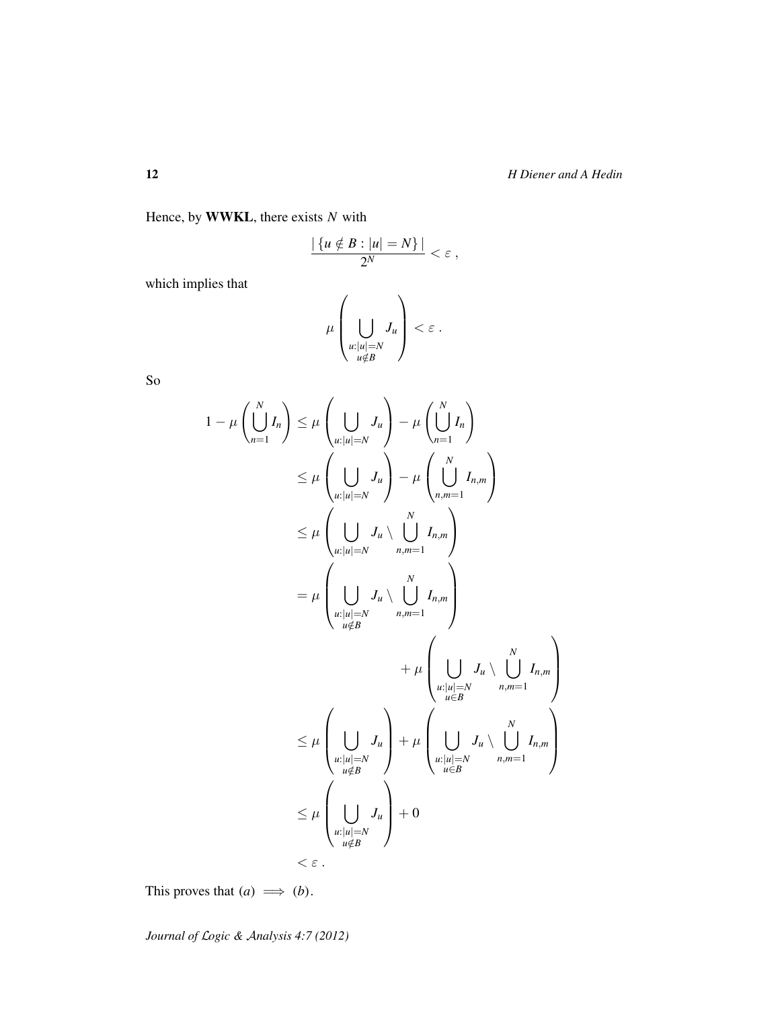Hence, by WWKL, there exists *N* with

$$
\frac{|\{u \notin B : |u| = N\}|}{2^N} < \varepsilon \;,
$$

which implies that

$$
\mu\left(\bigcup_{\substack{u:|u|=N\\u\notin B}}J_u\right)<\varepsilon.
$$

So

$$
1 - \mu \left( \bigcup_{n=1}^{N} I_n \right) \leq \mu \left( \bigcup_{u:|u|=N} J_u \right) - \mu \left( \bigcup_{n=1}^{N} I_n \right)
$$
  
\n
$$
\leq \mu \left( \bigcup_{u:|u|=N} J_u \right) - \mu \left( \bigcup_{n,m=1}^{N} I_{n,m} \right)
$$
  
\n
$$
\leq \mu \left( \bigcup_{u:|u|=N} J_u \setminus \bigcup_{n,m=1}^{N} I_{n,m} \right)
$$
  
\n
$$
= \mu \left( \bigcup_{\substack{u:|u|=N \\ u \notin B}} J_u \setminus \bigcup_{n,m=1}^{N} I_{n,m} \right)
$$
  
\n
$$
+ \mu \left( \bigcup_{\substack{u:|u|=N \\ u \in B}} J_u \setminus \bigcup_{n,m=1}^{N} I_{n,m} \right)
$$
  
\n
$$
\leq \mu \left( \bigcup_{\substack{u:|u|=N \\ u \notin B}} J_u \right) + \mu \left( \bigcup_{\substack{u:|u|=N \\ u \in B}} J_u \setminus \bigcup_{n,m=1}^{N} I_{n,m} \right)
$$
  
\n
$$
\leq \mu \left( \bigcup_{\substack{u:|u|=N \\ u \notin B}} J_u \right) + 0
$$
  
\n
$$
< \varepsilon.
$$

This proves that  $(a) \implies (b)$ .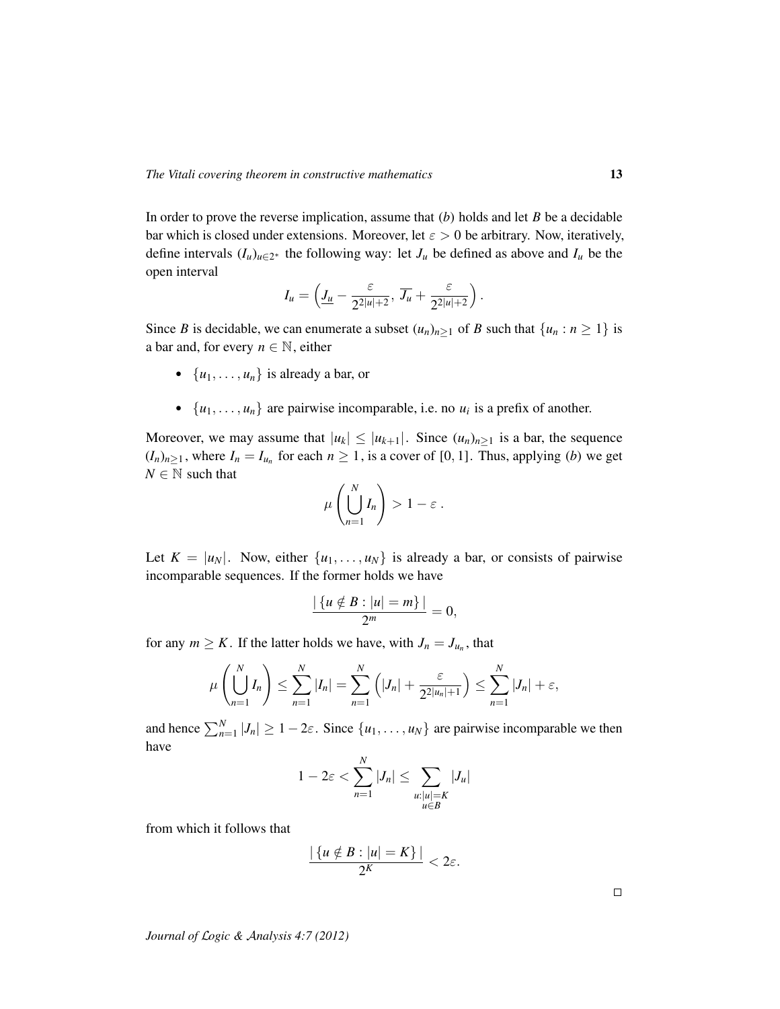In order to prove the reverse implication, assume that (*b*) holds and let *B* be a decidable bar which is closed under extensions. Moreover, let  $\varepsilon > 0$  be arbitrary. Now, iteratively, define intervals  $(I_u)_{u \in 2^*}$  the following way: let  $J_u$  be defined as above and  $I_u$  be the open interval

$$
I_u = \left(\underline{J_u} - \frac{\varepsilon}{2^{2|u|+2}}, \overline{J_u} + \frac{\varepsilon}{2^{2|u|+2}}\right).
$$

Since *B* is decidable, we can enumerate a subset  $(u_n)_{n\geq 1}$  of *B* such that  $\{u_n : n \geq 1\}$  is a bar and, for every  $n \in \mathbb{N}$ , either

- $\{u_1, \ldots, u_n\}$  is already a bar, or
- $\{u_1, \ldots, u_n\}$  are pairwise incomparable, i.e. no  $u_i$  is a prefix of another.

Moreover, we may assume that  $|u_k| \leq |u_{k+1}|$ . Since  $(u_n)_{n \geq 1}$  is a bar, the sequence  $(I_n)_{n\geq 1}$ , where  $I_n = I_{u_n}$  for each  $n \geq 1$ , is a cover of [0, 1]. Thus, applying (*b*) we get  $N \in \mathbb{N}$  such that

$$
\mu\left(\bigcup_{n=1}^N I_n\right) > 1 - \varepsilon.
$$

Let  $K = |u_N|$ . Now, either  $\{u_1, \ldots, u_N\}$  is already a bar, or consists of pairwise incomparable sequences. If the former holds we have

$$
\frac{|\{u\notin B:|u|=m\}|}{2^m}=0,
$$

for any  $m \geq K$ . If the latter holds we have, with  $J_n = J_{u_n}$ , that

$$
\mu\left(\bigcup_{n=1}^{N} I_n\right) \le \sum_{n=1}^{N} |I_n| = \sum_{n=1}^{N} \left(|J_n| + \frac{\varepsilon}{2^{2|u_n|+1}}\right) \le \sum_{n=1}^{N} |J_n| + \varepsilon,
$$

and hence  $\sum_{n=1}^{N} |J_n| \ge 1 - 2\varepsilon$ . Since  $\{u_1, \ldots, u_N\}$  are pairwise incomparable we then have

$$
1 - 2\varepsilon < \sum_{n=1}^{N} |J_n| \le \sum_{\substack{u: |u|=K \\ u \in B}} |J_u|
$$

from which it follows that

$$
\frac{|\{u \notin B : |u| = K\}|}{2^K} < 2\varepsilon.
$$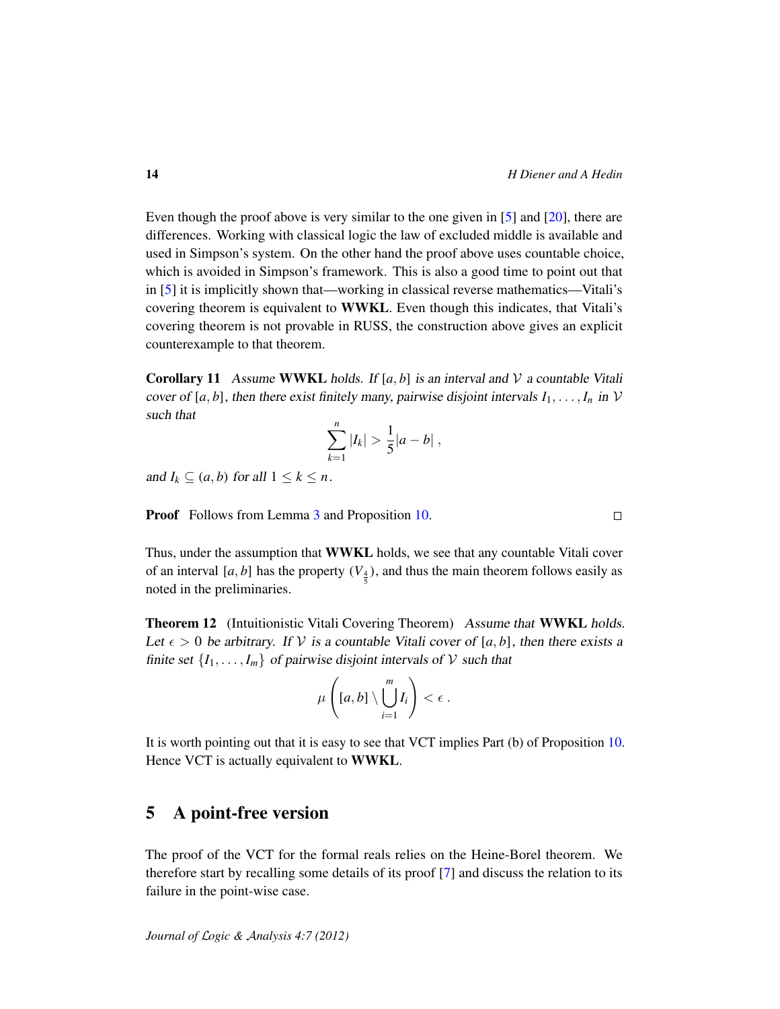Even though the proof above is very similar to the one given in [\[5\]](#page-20-2) and [\[20\]](#page-21-3), there are differences. Working with classical logic the law of excluded middle is available and used in Simpson's system. On the other hand the proof above uses countable choice, which is avoided in Simpson's framework. This is also a good time to point out that in [\[5\]](#page-20-2) it is implicitly shown that—working in classical reverse mathematics—Vitali's covering theorem is equivalent to WWKL. Even though this indicates, that Vitali's covering theorem is not provable in RUSS, the construction above gives an explicit counterexample to that theorem.

**Corollary 11** Assume **WWKL** holds. If  $[a, b]$  is an interval and V a countable Vitali cover of [a, b], then there exist finitely many, pairwise disjoint intervals  $I_1, \ldots, I_n$  in V such that

$$
\sum_{k=1}^n |I_k| > \frac{1}{5}|a-b| \; ,
$$

and  $I_k \subseteq (a, b)$  for all  $1 \leq k \leq n$ .

Proof Follows from Lemma [3](#page-2-1) and Proposition [10.](#page-10-0)

Thus, under the assumption that WWKL holds, we see that any countable Vitali cover of an interval [ $a$ ,  $b$ ] has the property  $(V_{\frac{4}{5}})$ , and thus the main theorem follows easily as noted in the preliminaries.

Theorem 12 (Intuitionistic Vitali Covering Theorem) Assume that WWKL holds. Let  $\epsilon > 0$  be arbitrary. If V is a countable Vitali cover of [a, b], then there exists a finite set  $\{I_1, \ldots, I_m\}$  of pairwise disjoint intervals of  $V$  such that

$$
\mu\left([a,b]\setminus\bigcup_{i=1}^m I_i\right)<\epsilon.
$$

It is worth pointing out that it is easy to see that VCT implies Part (b) of Proposition [10.](#page-10-0) Hence VCT is actually equivalent to WWKL.

## <span id="page-13-0"></span>5 A point-free version

The proof of the VCT for the formal reals relies on the Heine-Borel theorem. We therefore start by recalling some details of its proof [\[7\]](#page-20-3) and discuss the relation to its failure in the point-wise case.

 $\Box$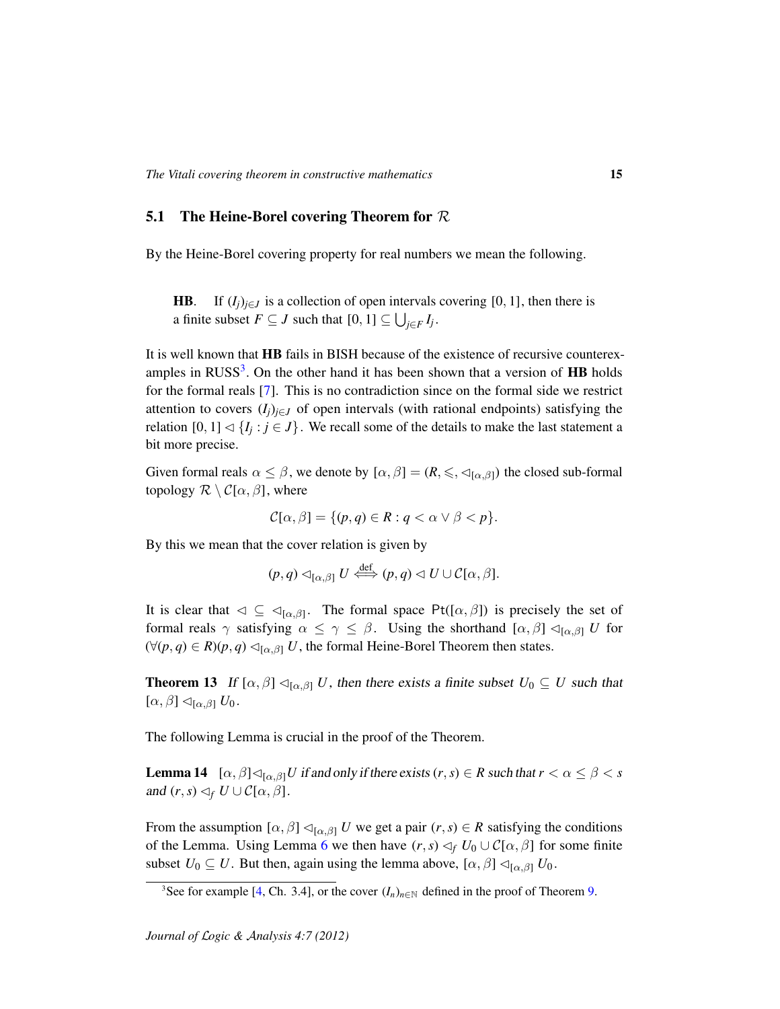#### **5.1** The Heine-Borel covering Theorem for  $\mathcal{R}$

By the Heine-Borel covering property for real numbers we mean the following.

**HB**. If  $(I_j)_{j \in J}$  is a collection of open intervals covering [0, 1], then there is a finite subset  $F \subseteq J$  such that  $[0, 1] \subseteq \bigcup_{j \in F} I_j$ .

It is well known that HB fails in BISH because of the existence of recursive counterex-amples in RUSS<sup>[3](#page-14-0)</sup>. On the other hand it has been shown that a version of  ${\rm HB}$  holds for the formal reals [\[7\]](#page-20-3). This is no contradiction since on the formal side we restrict attention to covers  $(I_i)_{i \in J}$  of open intervals (with rational endpoints) satisfying the relation  $[0, 1] \triangleleft \{I_j : j \in J\}$ . We recall some of the details to make the last statement a bit more precise.

Given formal reals  $\alpha \leq \beta$ , we denote by  $[\alpha, \beta] = (R, \leq, \triangleleft_{[\alpha, \beta]})$  the closed sub-formal topology  $\mathcal{R} \setminus \mathcal{C}[\alpha, \beta]$ , where

$$
\mathcal{C}[\alpha,\beta] = \{ (p,q) \in R : q < \alpha \lor \beta < p \}.
$$

By this we mean that the cover relation is given by

$$
(p,q) \lhd_{[\alpha,\beta]} U \stackrel{\text{def}}{\iff} (p,q) \lhd U \cup \mathcal{C}[\alpha,\beta].
$$

It is clear that  $\varphi \subseteq \varphi_{[\alpha,\beta]}$ . The formal space Pt( $[\alpha,\beta]$ ) is precisely the set of formal reals  $\gamma$  satisfying  $\alpha \leq \gamma \leq \beta$ . Using the shorthand  $[\alpha, \beta] \triangleleft_{[\alpha, \beta]} U$  for  $(∀(p, q) ∈ R)(p, q) ⊲[α, β] U$ , the formal Heine-Borel Theorem then states.

<span id="page-14-1"></span>**Theorem 13** If  $[\alpha, \beta] \triangleleft_{[\alpha, \beta]} U$ , then there exists a finite subset  $U_0 \subseteq U$  such that  $[\alpha, \beta] \triangleleft_{[\alpha, \beta]} U_0$ .

The following Lemma is crucial in the proof of the Theorem.

**Lemma 14**  $[\alpha, \beta] \triangleleft_{[\alpha, \beta]} U$  if and only if there exists  $(r, s) \in R$  such that  $r < \alpha \leq \beta < s$ and  $(r, s) \lhd_f U \cup C[\alpha, \beta]$ .

From the assumption  $[\alpha, \beta] \triangleleft_{[\alpha, \beta]} U$  we get a pair  $(r, s) \in R$  satisfying the conditions of the Lemma. Using Lemma [6](#page-6-1) we then have  $(r, s) \leq_f U_0 \cup C[\alpha, \beta]$  for some finite subset  $U_0 \subseteq U$ . But then, again using the lemma above,  $[\alpha, \beta] \triangleleft_{[\alpha, \beta]} U_0$ .

<span id="page-14-0"></span><sup>&</sup>lt;sup>3</sup>See for example [\[4,](#page-20-6) Ch. 3.4], or the cover  $(I_n)_{n \in \mathbb{N}}$  defined in the proof of Theorem [9.](#page-8-0)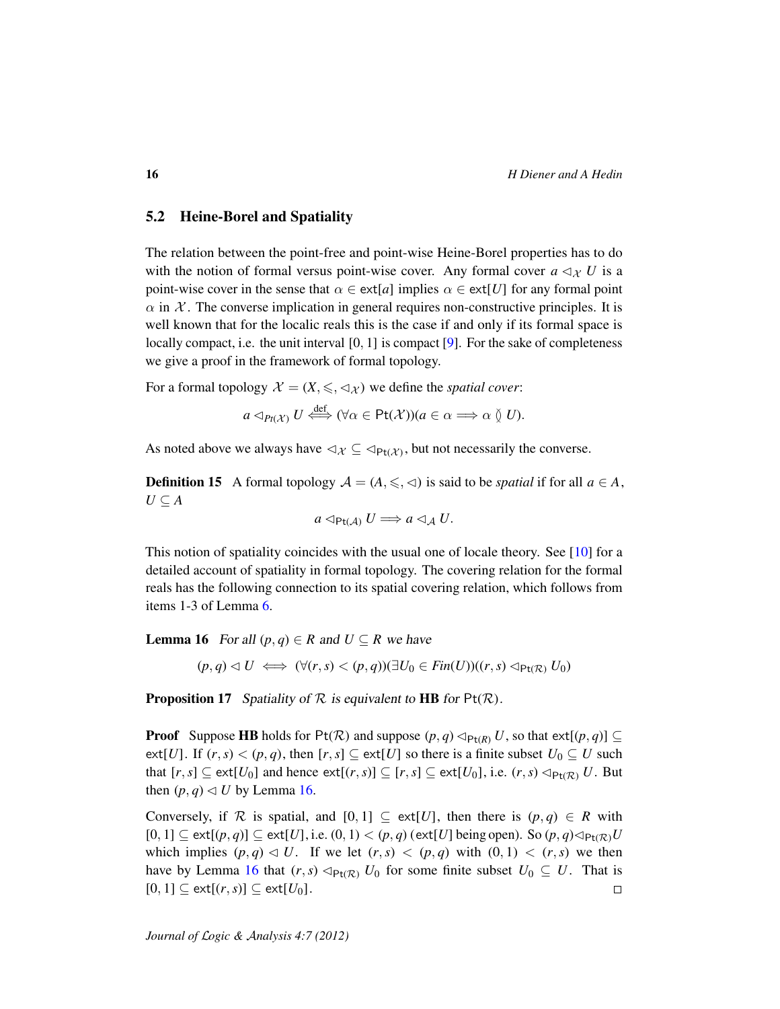### 5.2 Heine-Borel and Spatiality

The relation between the point-free and point-wise Heine-Borel properties has to do with the notion of formal versus point-wise cover. Any formal cover  $a \triangleleft_{\mathcal{X}} U$  is a point-wise cover in the sense that  $\alpha \in \text{ext}[a]$  implies  $\alpha \in \text{ext}[U]$  for any formal point  $\alpha$  in X. The converse implication in general requires non-constructive principles. It is well known that for the localic reals this is the case if and only if its formal space is locally compact, i.e. the unit interval [0, 1] is compact [\[9\]](#page-20-12). For the sake of completeness we give a proof in the framework of formal topology.

For a formal topology  $\mathcal{X} = (X, \leq, \leq_{\mathcal{X}})$  we define the *spatial cover*:

$$
a \triangleleft_{Pt(\mathcal{X})} U \stackrel{\text{def}}{\iff} (\forall \alpha \in \text{Pt}(\mathcal{X}))(a \in \alpha \Longrightarrow \alpha \vee U).
$$

As noted above we always have  $\lhd_{\mathcal{X}} \subseteq \lhd_{\text{Pt}(\mathcal{X})}$ , but not necessarily the converse.

**Definition 15** A formal topology  $\mathcal{A} = (A, \leq, \leq)$  is said to be *spatial* if for all  $a \in A$ , *U* ⊆ *A*

$$
a \triangleleft_{\mathsf{Pt}(\mathcal{A})} U \Longrightarrow a \triangleleft_{\mathcal{A}} U.
$$

This notion of spatiality coincides with the usual one of locale theory. See [\[10\]](#page-20-13) for a detailed account of spatiality in formal topology. The covering relation for the formal reals has the following connection to its spatial covering relation, which follows from items 1-3 of Lemma [6.](#page-6-1)

<span id="page-15-0"></span>**Lemma 16** For all  $(p, q) \in R$  and  $U \subseteq R$  we have

 $(p, q) \triangleleft U \iff (\forall (r, s) < (p, q))(\exists U_0 \in \text{Fin}(U))((r, s) \triangleleft_{\text{Pt}(R)} U_0)$ 

**Proposition 17** Spatiality of  $R$  is equivalent to **HB** for  $Pt(R)$ .

**Proof** Suppose **HB** holds for Pt( $\mathcal{R}$ ) and suppose ( $p, q$ )  $\triangleleft_{Pt(R)} U$ , so that ext[ $(p, q)$ ]  $\subseteq$ ext[*U*]. If  $(r, s) < (p, q)$ , then  $[r, s] \subseteq \text{ext}[U]$  so there is a finite subset  $U_0 \subseteq U$  such that  $[r, s] \subseteq \text{ext}[U_0]$  and hence  $\text{ext}[(r, s)] \subseteq [r, s] \subseteq \text{ext}[U_0]$ , i.e.  $(r, s) \triangleleft_{\text{Pt}(R)} U$ . But then  $(p, q) \triangleleft U$  by Lemma [16.](#page-15-0)

Conversely, if R is spatial, and  $[0, 1] \subseteq \text{ext}[U]$ , then there is  $(p, q) \in R$  with  $[0, 1] \subseteq \text{ext}[(p, q)] \subseteq \text{ext}[U]$ , i.e.  $(0, 1) < (p, q)$  (ext[*U*] being open). So  $(p, q) \triangleleft_{\text{Pt}(R)} U$ which implies  $(p, q) \triangleleft U$ . If we let  $(r, s) \triangleleft (p, q)$  with  $(0, 1) \triangleleft (r, s)$  we then have by Lemma [16](#page-15-0) that  $(r, s) \triangleleft_{Pt(\mathcal{R})} U_0$  for some finite subset  $U_0 \subseteq U$ . That is  $[0, 1] \subseteq \text{ext}[(r, s)] \subseteq \text{ext}[U_0].$  $\Box$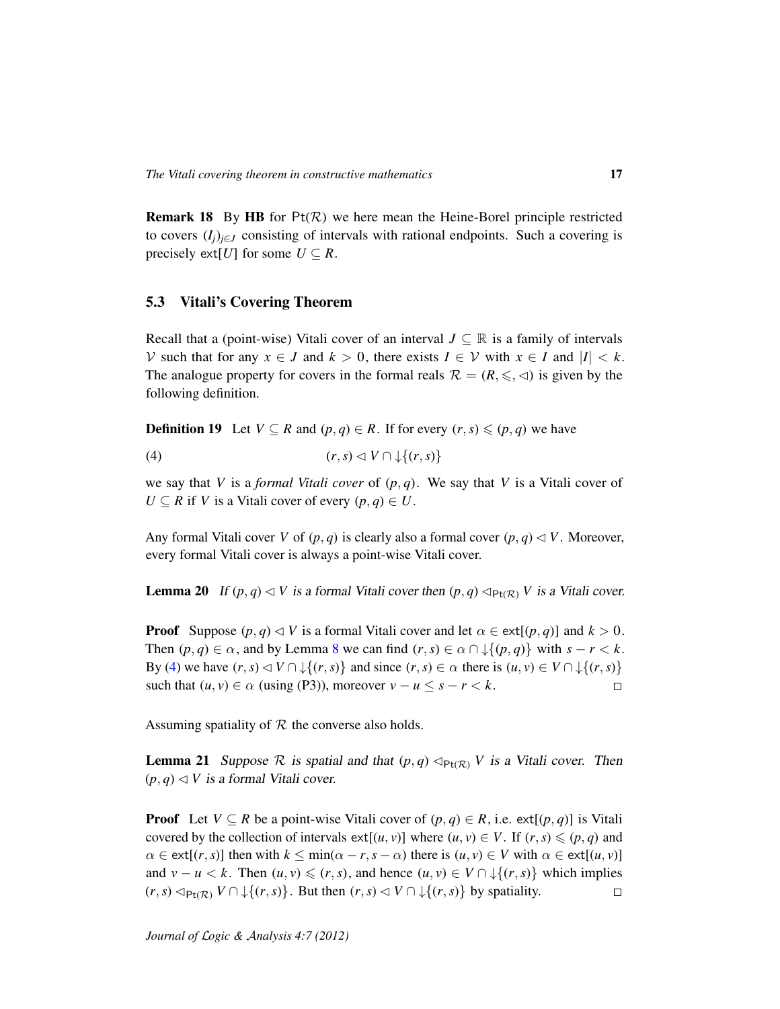**Remark 18** By HB for  $Pt(R)$  we here mean the Heine-Borel principle restricted to covers  $(I_i)_{i \in J}$  consisting of intervals with rational endpoints. Such a covering is precisely ext[*U*] for some  $U \subseteq R$ .

#### 5.3 Vitali's Covering Theorem

Recall that a (point-wise) Vitali cover of an interval  $J \subseteq \mathbb{R}$  is a family of intervals *V* such that for any *x* ∈ *J* and *k* > 0, there exists *I* ∈ *V* with *x* ∈ *I* and  $|I|$  < *k*. The analogue property for covers in the formal reals  $\mathcal{R} = (R, \leq, \leq)$  is given by the following definition.

**Definition 19** Let *V* ⊆ *R* and  $(p, q) \in R$ . If for every  $(r, s) \leq (p, q)$  we have

<span id="page-16-0"></span>(4)  $(r, s) \leq V \cap \cup \{(r, s)\}$ 

we say that *V* is a *formal Vitali cover* of  $(p, q)$ . We say that *V* is a Vitali cover of  $U \subseteq R$  if *V* is a Vitali cover of every  $(p, q) \in U$ .

Any formal Vitali cover *V* of  $(p, q)$  is clearly also a formal cover  $(p, q) \triangleleft V$ . Moreover, every formal Vitali cover is always a point-wise Vitali cover.

**Lemma 20** If  $(p, q) \triangleleft V$  is a formal Vitali cover then  $(p, q) \triangleleft_{Pt(\mathcal{R})} V$  is a Vitali cover.

**Proof** Suppose  $(p, q) \triangleleft V$  is a formal Vitali cover and let  $\alpha \in \text{ext}[(p, q)]$  and  $k > 0$ . Then  $(p, q) \in \alpha$ , and by Lemma [8](#page-8-1) we can find  $(r, s) \in \alpha \cap \mathcal{L}(p, q)$  with  $s - r < k$ . By [\(4\)](#page-16-0) we have  $(r, s) \triangleleft V \cap \bigcup \{(r, s)\}\$  and since  $(r, s) \in \alpha$  there is  $(u, v) \in V \cap \bigcup \{(r, s)\}\$ such that  $(u, v) \in \alpha$  (using (P3)), moreover  $v - u \leq s - r < k$ .  $\Box$ 

Assuming spatiality of  $R$  the converse also holds.

**Lemma 21** Suppose R is spatial and that  $(p,q) \triangleleft_{P_t(R)} V$  is a Vitali cover. Then  $(p, q) \triangleleft V$  is a formal Vitali cover.

**Proof** Let  $V \subseteq R$  be a point-wise Vitali cover of  $(p, q) \in R$ , i.e. ext[ $(p, q)$ ] is Vitali covered by the collection of intervals  $ext[(u, v)]$  where  $(u, v) \in V$ . If  $(r, s) \leqslant (p, q)$  and  $\alpha \in \text{ext}[(r, s)]$  then with  $k \leq \min(\alpha - r, s - \alpha)$  there is  $(u, v) \in V$  with  $\alpha \in \text{ext}[(u, v)]$ and  $v - u < k$ . Then  $(u, v) \le (r, s)$ , and hence  $(u, v) \in V \cap \mathcal{L}\{(r, s)\}$  which implies  $(r, s) \triangleleft_{P_t(\mathcal{R})} V \cap \downarrow \{(r, s)\}\$ . But then  $(r, s) \triangleleft V \cap \downarrow \{(r, s)\}\$  by spatiality.  $\Box$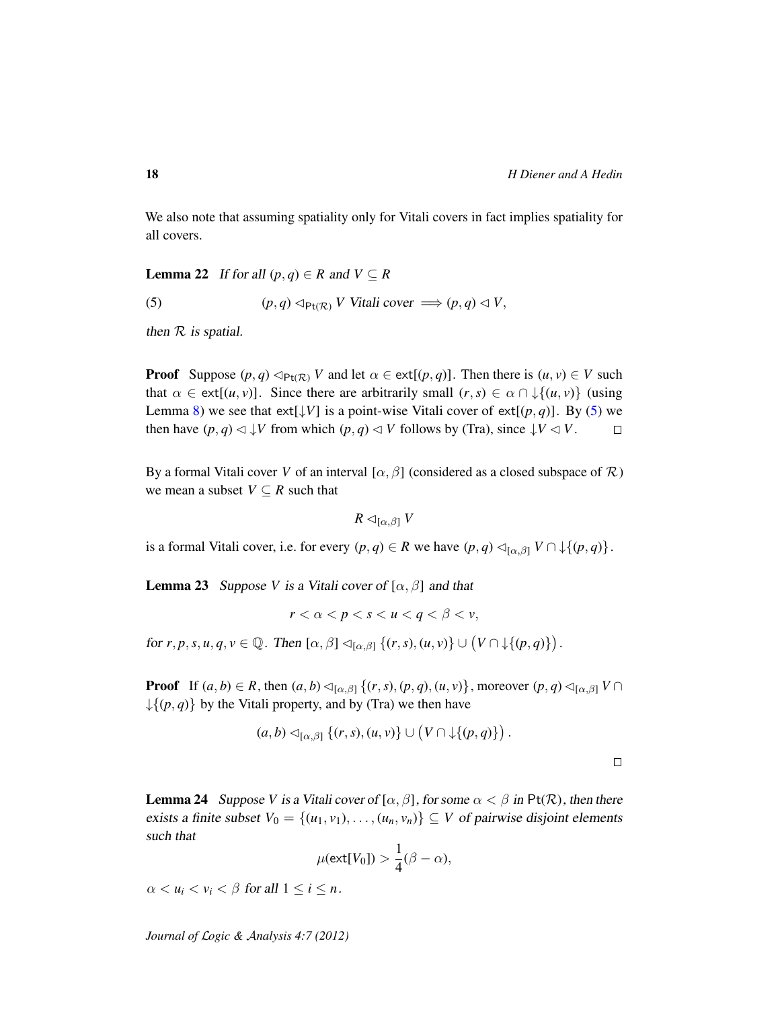We also note that assuming spatiality only for Vitali covers in fact implies spatiality for all covers.

**Lemma 22** If for all  $(p, q) \in R$  and  $V \subseteq R$ 

<span id="page-17-0"></span>(5)  $(p, q) \triangleleft_{\text{Pt}(\mathcal{R})} V$  Vitali cover  $\implies (p, q) \triangleleft V$ ,

then  $R$  is spatial.

**Proof** Suppose  $(p, q) \triangleleft_{P_t(\mathcal{R})} V$  and let  $\alpha \in \text{ext}[(p, q)]$ . Then there is  $(u, v) \in V$  such that  $\alpha \in \text{ext}[(u, v)]$ . Since there are arbitrarily small  $(r, s) \in \alpha \cap \mathcal{L}\{(u, v)\}$  (using Lemma [8\)](#page-8-1) we see that ext[ $\downarrow$ V] is a point-wise Vitali cover of ext[ $(p, q)$ ]. By [\(5\)](#page-17-0) we then have  $(p, q) \triangleleft \downarrow V$  from which  $(p, q) \triangleleft V$  follows by (Tra), since  $\downarrow V \triangleleft V$ .  $\Box$ 

By a formal Vitali cover *V* of an interval  $[\alpha, \beta]$  (considered as a closed subspace of  $\mathcal{R}$ ) we mean a subset  $V \subseteq R$  such that

$$
R \lhd_{[\alpha,\beta]} V
$$

is a formal Vitali cover, i.e. for every  $(p, q) \in R$  we have  $(p, q) \triangleleft_{[\alpha, \beta]} V \cap \downarrow \{(p, q)\}.$ 

<span id="page-17-1"></span>**Lemma 23** Suppose *V* is a Vitali cover of  $[\alpha, \beta]$  and that

$$
r < \alpha < p < s < u < q < \beta < v
$$

for  $r, p, s, u, q, v \in \mathbb{Q}$ . Then  $[\alpha, \beta] \triangleleft_{[\alpha, \beta]} \{(r, s), (u, v)\} \cup (V \cap \downarrow \{(p, q)\})$ .

**Proof** If  $(a, b) \in R$ , then  $(a, b) \triangleleft_{[\alpha, \beta]} \{(r, s), (p, q), (u, v)\}$ , moreover  $(p, q) \triangleleft_{[\alpha, \beta]} V \cap$  $\{\{(p, q)\}\$ by the Vitali property, and by (Tra) we then have

$$
(a,b) \lhd_{[\alpha,\beta]}\{(r,s),(u,v)\}\cup \big(V\cap \downarrow\{(p,q)\}\big) .
$$

 $\Box$ 

**Lemma 24** Suppose *V* is a Vitali cover of  $[\alpha, \beta]$ , for some  $\alpha < \beta$  in Pt(R), then there exists a finite subset  $V_0 = \{(u_1, v_1), \ldots, (u_n, v_n)\} \subseteq V$  of pairwise disjoint elements such that

$$
\mu(\text{ext}[V_0]) > \frac{1}{4}(\beta - \alpha),
$$

 $\alpha < u_i < v_i < \beta$  for all  $1 \leq i \leq n$ .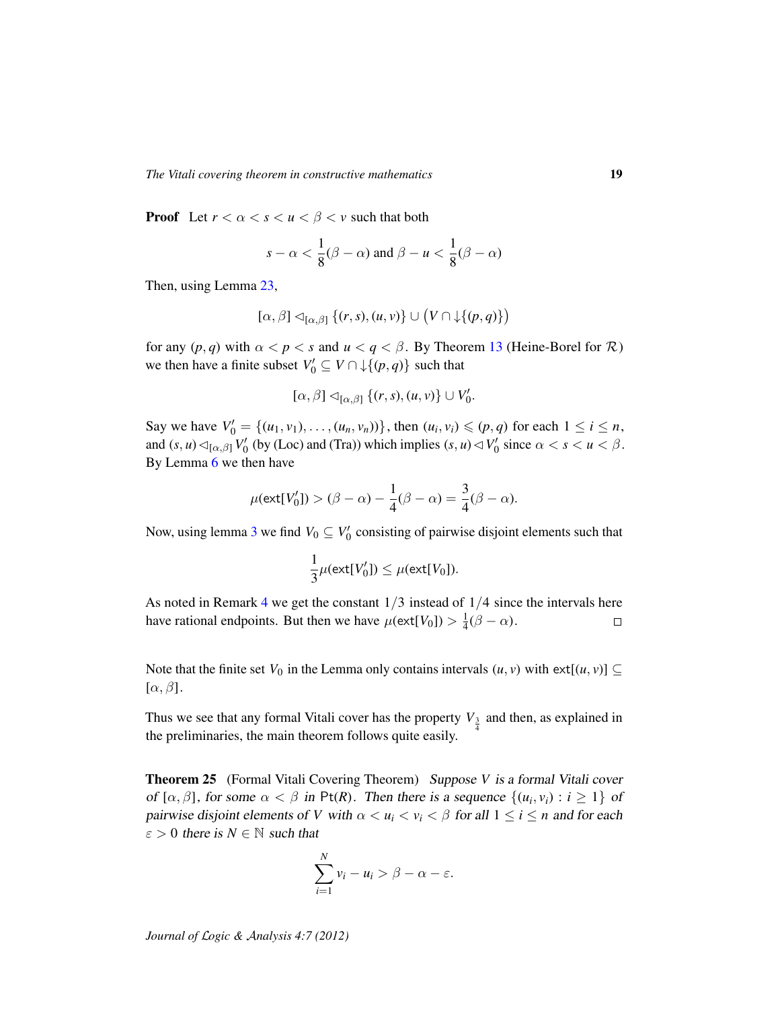**Proof** Let  $r < \alpha < s < u < \beta < v$  such that both

$$
s - \alpha < \frac{1}{8}(\beta - \alpha) \text{ and } \beta - u < \frac{1}{8}(\beta - \alpha)
$$

Then, using Lemma [23,](#page-17-1)

$$
[\alpha,\beta] \lhd_{[\alpha,\beta]} \{(r,s),(u,v)\} \cup (V \cap \downarrow \{(p,q)\})
$$

for any  $(p, q)$  with  $\alpha < p < s$  and  $u < q < \beta$ . By Theorem [13](#page-14-1) (Heine-Borel for  $\mathcal{R}$ ) we then have a finite subset  $V'_0 \subseteq V \cap \downarrow \{(p,q)\}$  such that

$$
[\alpha,\beta] \lhd_{[\alpha,\beta]} \{(r,s),(u,v)\} \cup V'_0.
$$

Say we have  $V'_0 = \{(u_1, v_1), \dots, (u_n, v_n)\}$ , then  $(u_i, v_i) \leq (p, q)$  for each  $1 \leq i \leq n$ , and  $(s, u) \triangleleft_{[\alpha, \beta]} V'_0$  (by (Loc) and (Tra)) which implies  $(s, u) \triangleleft V'_0$  since  $\alpha < s < u < \beta$ . By Lemma [6](#page-6-1) we then have

$$
\mu(\text{ext}[V_0']) > (\beta - \alpha) - \frac{1}{4}(\beta - \alpha) = \frac{3}{4}(\beta - \alpha).
$$

Now, using lemma [3](#page-2-1) we find  $V_0 \subseteq V'_0$  consisting of pairwise disjoint elements such that

$$
\frac{1}{3}\mu(\text{ext}[V_0']) \leq \mu(\text{ext}[V_0]).
$$

As noted in Remark [4](#page-3-1) we get the constant  $1/3$  instead of  $1/4$  since the intervals here have rational endpoints. But then we have  $\mu(\text{ext}[V_0]) > \frac{1}{4}$  $rac{1}{4}(\beta-\alpha).$  $\Box$ 

Note that the finite set  $V_0$  in the Lemma only contains intervals  $(u, v)$  with  $ext[(u, v)] \subseteq$  $[\alpha, \beta]$ .

Thus we see that any formal Vitali cover has the property  $V_{\frac{3}{4}}$  and then, as explained in the preliminaries, the main theorem follows quite easily.

Theorem 25 (Formal Vitali Covering Theorem) Suppose *V* is a formal Vitali cover of  $[\alpha, \beta]$ , for some  $\alpha < \beta$  in Pt(R). Then there is a sequence  $\{(u_i, v_i) : i \geq 1\}$  of pairwise disjoint elements of *V* with  $\alpha < u_i < v_i < \beta$  for all  $1 \le i \le n$  and for each  $\varepsilon > 0$  there is  $N \in \mathbb{N}$  such that

$$
\sum_{i=1}^N v_i - u_i > \beta - \alpha - \varepsilon.
$$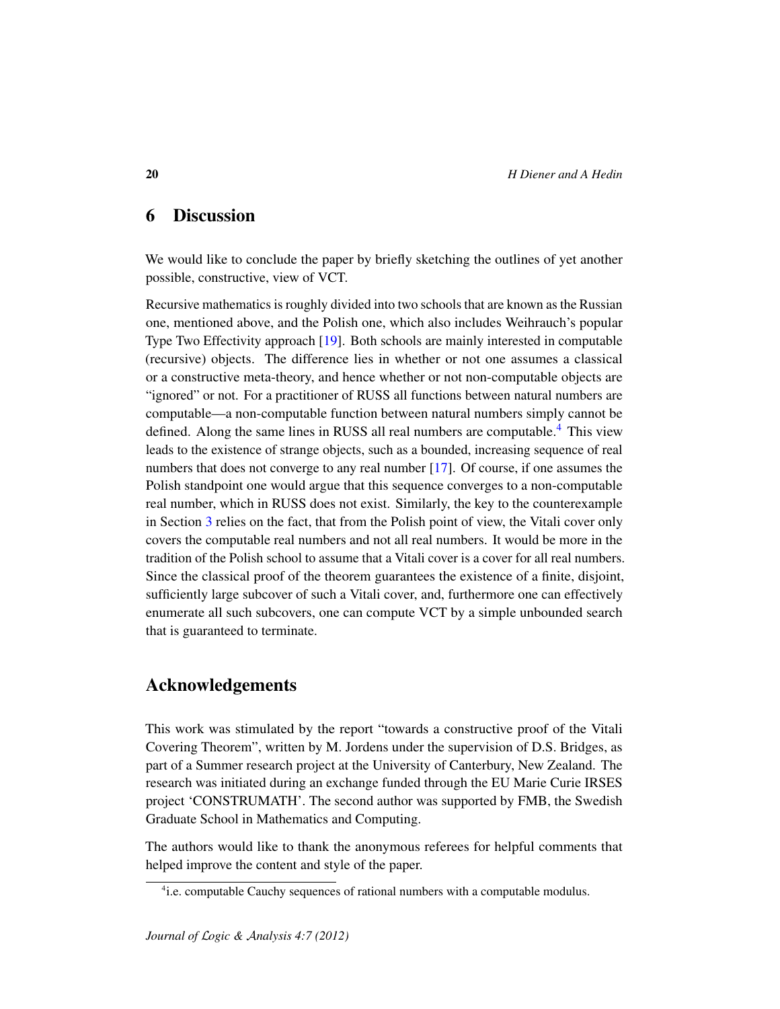# 6 Discussion

We would like to conclude the paper by briefly sketching the outlines of yet another possible, constructive, view of VCT.

Recursive mathematics is roughly divided into two schools that are known as the Russian one, mentioned above, and the Polish one, which also includes Weihrauch's popular Type Two Effectivity approach [\[19\]](#page-21-4). Both schools are mainly interested in computable (recursive) objects. The difference lies in whether or not one assumes a classical or a constructive meta-theory, and hence whether or not non-computable objects are "ignored" or not. For a practitioner of RUSS all functions between natural numbers are computable—a non-computable function between natural numbers simply cannot be defined. Along the same lines in RUSS all real numbers are computable.<sup>[4](#page-19-0)</sup> This view leads to the existence of strange objects, such as a bounded, increasing sequence of real numbers that does not converge to any real number [\[17\]](#page-21-5). Of course, if one assumes the Polish standpoint one would argue that this sequence converges to a non-computable real number, which in RUSS does not exist. Similarly, the key to the counterexample in Section [3](#page-8-2) relies on the fact, that from the Polish point of view, the Vitali cover only covers the computable real numbers and not all real numbers. It would be more in the tradition of the Polish school to assume that a Vitali cover is a cover for all real numbers. Since the classical proof of the theorem guarantees the existence of a finite, disjoint, sufficiently large subcover of such a Vitali cover, and, furthermore one can effectively enumerate all such subcovers, one can compute VCT by a simple unbounded search that is guaranteed to terminate.

## Acknowledgements

This work was stimulated by the report "towards a constructive proof of the Vitali Covering Theorem", written by M. Jordens under the supervision of D.S. Bridges, as part of a Summer research project at the University of Canterbury, New Zealand. The research was initiated during an exchange funded through the EU Marie Curie IRSES project 'CONSTRUMATH'. The second author was supported by FMB, the Swedish Graduate School in Mathematics and Computing.

The authors would like to thank the anonymous referees for helpful comments that helped improve the content and style of the paper.

<span id="page-19-0"></span><sup>&</sup>lt;sup>4</sup>i.e. computable Cauchy sequences of rational numbers with a computable modulus.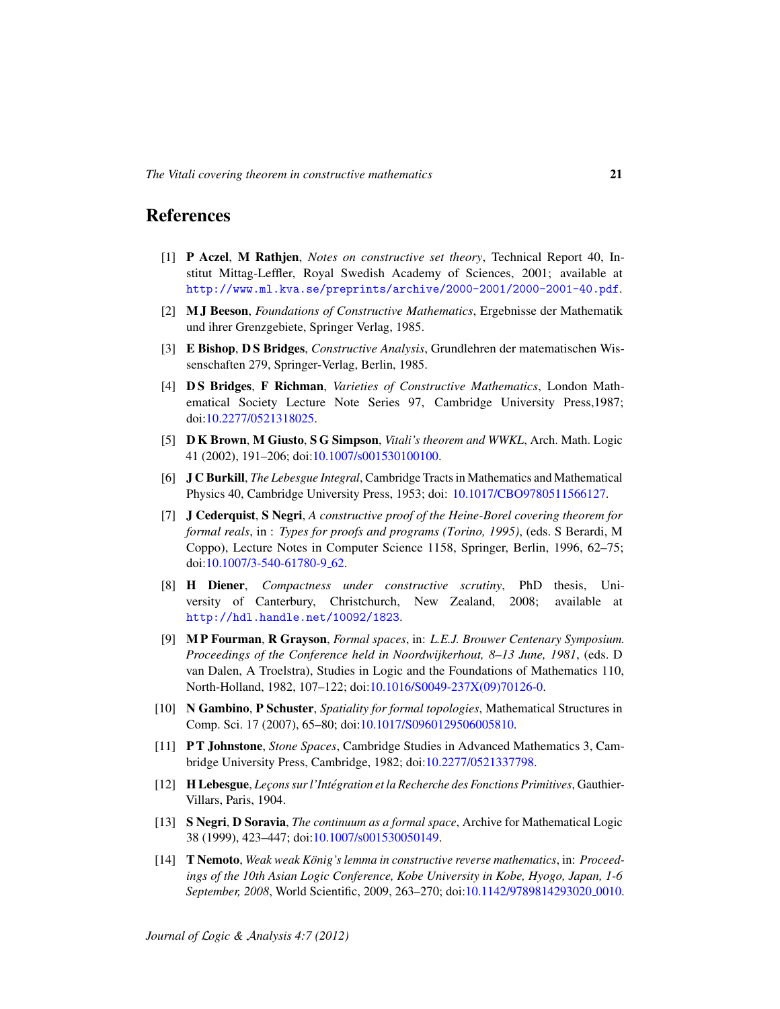## References

- <span id="page-20-5"></span>[1] P Aczel, M Rathjen, *Notes on constructive set theory*, Technical Report 40, Institut Mittag-Leffler, Royal Swedish Academy of Sciences, 2001; available at <http://www.ml.kva.se/preprints/archive/2000-2001/2000-2001-40.pdf>.
- <span id="page-20-9"></span>[2] M J Beeson, *Foundations of Constructive Mathematics*, Ergebnisse der Mathematik und ihrer Grenzgebiete, Springer Verlag, 1985.
- <span id="page-20-4"></span>[3] E Bishop, D S Bridges, *Constructive Analysis*, Grundlehren der matematischen Wissenschaften 279, Springer-Verlag, Berlin, 1985.
- <span id="page-20-6"></span>[4] D S Bridges, F Richman, *Varieties of Constructive Mathematics*, London Mathematical Society Lecture Note Series 97, Cambridge University Press,1987; doi[:10.2277/0521318025.](http://dx.doi.org/10.2277/0521318025)
- <span id="page-20-2"></span>[5] D K Brown, M Giusto, S G Simpson, *Vitali's theorem and WWKL*, Arch. Math. Logic 41 (2002), 191–206; doi[:10.1007/s001530100100.](http://dx.doi.org/10.1007/s001530100100)
- <span id="page-20-1"></span>[6] J C Burkill, *The Lebesgue Integral*, Cambridge Tracts in Mathematics and Mathematical Physics 40, Cambridge University Press, 1953; doi: [10.1017/CBO9780511566127.](http://dx.doi.org/10.1017/CBO9780511566127)
- <span id="page-20-3"></span>[7] J Cederquist, S Negri, *A constructive proof of the Heine-Borel covering theorem for formal reals*, in : *Types for proofs and programs (Torino, 1995)*, (eds. S Berardi, M Coppo), Lecture Notes in Computer Science 1158, Springer, Berlin, 1996, 62–75; doi[:10.1007/3-540-61780-9](http://dx.doi.org/10.1007/3-540-61780-9_62)<sub>-62</sub>.
- <span id="page-20-10"></span>[8] H Diener, *Compactness under constructive scrutiny*, PhD thesis, University of Canterbury, Christchurch, New Zealand, 2008; available at <http://hdl.handle.net/10092/1823>.
- <span id="page-20-12"></span>[9] M P Fourman, R Grayson, *Formal spaces*, in: *L.E.J. Brouwer Centenary Symposium. Proceedings of the Conference held in Noordwijkerhout, 8–13 June, 1981*, (eds. D van Dalen, A Troelstra), Studies in Logic and the Foundations of Mathematics 110, North-Holland, 1982, 107–122; doi[:10.1016/S0049-237X\(09\)70126-0.](http://dx.doi.org/10.1016/S0049-237X(09)70126-0)
- <span id="page-20-13"></span>[10] N Gambino, P Schuster, *Spatiality for formal topologies*, Mathematical Structures in Comp. Sci. 17 (2007), 65–80; doi[:10.1017/S0960129506005810.](http://dx.doi.org/10.1017/S0960129506005810)
- <span id="page-20-7"></span>[11] P T Johnstone, *Stone Spaces*, Cambridge Studies in Advanced Mathematics 3, Cambridge University Press, Cambridge, 1982; doi[:10.2277/0521337798.](http://dx.doi.org/10.2277/0521337798)
- <span id="page-20-0"></span>[12] H Lebesgue, *Lec¸ons sur l'Integration et la Recherche des Fonctions Primitives ´* , Gauthier-Villars, Paris, 1904.
- <span id="page-20-8"></span>[13] S Negri, D Soravia, *The continuum as a formal space*, Archive for Mathematical Logic 38 (1999), 423–447; doi[:10.1007/s001530050149.](http://dx.doi.org/10.1007/s001530050149)
- <span id="page-20-11"></span>[14] T Nemoto, *Weak weak König's lemma in constructive reverse mathematics*, in: *Proceedings of the 10th Asian Logic Conference, Kobe University in Kobe, Hyogo, Japan, 1-6 September, 2008*, World Scientific, 2009, 263–270; doi[:10.1142/9789814293020](http://dx.doi.org/10.1142/9789814293020_0010) 0010.